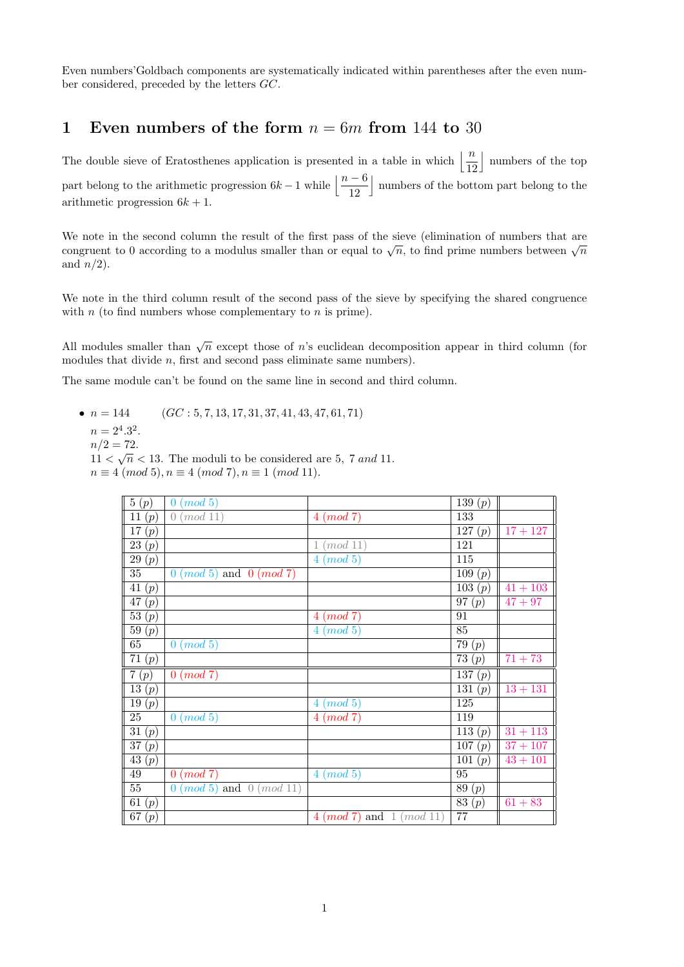Even numbers'Goldbach components are systematically indicated within parentheses after the even number considered, preceded by the letters GC.

## 1 Even numbers of the form  $n = 6m$  from 144 to 30

The double sieve of Eratosthenes application is presented in a table in which  $\left\lfloor \frac{n}{12} \right\rfloor$ | numbers of the top part belong to the arithmetic progression  $6k - 1$  while  $\left\lfloor \frac{n - 6}{12} \right\rfloor$ k numbers of the bottom part belong to the arithmetic progression  $6k + 1$ .

We note in the second column the result of the first pass of the sieve (elimination of numbers that are we note in the second column the result of the first pass of the sleve (emmination of numbers that are congruent to 0 according to a modulus smaller than or equal to  $\sqrt{n}$ , to find prime numbers between  $\sqrt{n}$ and  $n/2$ ).

We note in the third column result of the second pass of the sieve by specifying the shared congruence with  $n$  (to find numbers whose complementary to  $n$  is prime).

All modules smaller than  $\sqrt{n}$  except those of n's euclidean decomposition appear in third column (for modules that divide  $n$ , first and second pass eliminate same numbers).

The same module can't be found on the same line in second and third column.

•  $n = 144$  (GC : 5, 7, 13, 17, 31, 37, 41, 43, 47, 61, 71)

- $n = 2^4 \cdot 3^2$ .
- $n/2 = 72.$

 $11 < \sqrt{n} < 13$ . The moduli to be considered are 5, 7 and 11.  $n \equiv 4 \pmod{5}, n \equiv 4 \pmod{7}, n \equiv 1 \pmod{11}.$ 

| 5(p)                  | (mod 5)<br>$\overline{0}$          |                                | $\overline{139} (p)$  |            |
|-----------------------|------------------------------------|--------------------------------|-----------------------|------------|
| $\overline{11}(p)$    | $0 \ (mod\ 11)$                    | $4 \pmod{7}$                   | 133                   |            |
| $\overline{17(p)}$    |                                    |                                | $\overline{127(p)}$   | $17 + 127$ |
| $\overline{23}\,(p)$  |                                    | $1 \ (mod \ 11)$               | 121                   |            |
| $\overline{29(p)}$    |                                    | $4 \pmod{5}$                   | 115                   |            |
| $\overline{35}$       | $0 \ (mod\ 5)$ and $0 \ (mod\ 7)$  |                                | $\overline{109(p)}$   |            |
| $\overline{41(p)}$    |                                    |                                | $\overline{103(p)}$   | $41 + 103$ |
| $\overline{47}(p)$    |                                    |                                | $\overline{97}(p)$    | $47 + 97$  |
| $\overline{53(p)}$    |                                    | $4 \pmod{7}$                   | 91                    |            |
| $\overline{59}(p)$    |                                    | $4 \ (mod \ 5)$                | 85                    |            |
| 65                    | $0 \pmod{5}$                       |                                | $\overline{79(p)}$    |            |
| $\overline{71(p)}$    |                                    |                                | $\overline{73}\ (p)$  | $71 + 73$  |
| $\overline{7}(p)$     | $\overline{0~(mod~7)}$             |                                | $\overline{137}\ (p)$ |            |
| $\overline{13(p)}$    |                                    |                                | 131 (p)               | $13 + 131$ |
| $\overline{19}(p)$    |                                    | $4 \pmod{5}$                   | $\overline{125}$      |            |
| $\overline{25}$       | $0 \ (mod\ 5)$                     | $4 \pmod{7}$                   | 119                   |            |
| 31(p)                 |                                    |                                | $\overline{113(p)}$   | $31 + 113$ |
| $\overline{37}\, (p)$ |                                    |                                | $\overline{107(p)}$   | $37 + 107$ |
| $\overline{43(p)}$    |                                    |                                | $\overline{101(p)}$   | $43 + 101$ |
| 49                    | $0 \pmod{7}$                       | $4 \ (mod \ 5)$                | $\overline{95}$       |            |
| $\overline{55}$       | $0 \ (mod\ 5)$ and $0 \ (mod\ 11)$ |                                | 89(p)                 |            |
| 61(p)                 |                                    |                                | $\overline{83(p)}$    | $61 + 83$  |
| $\overline{67}\ (p)$  |                                    | $4 \pmod{7}$ and $1 \pmod{11}$ | 77                    |            |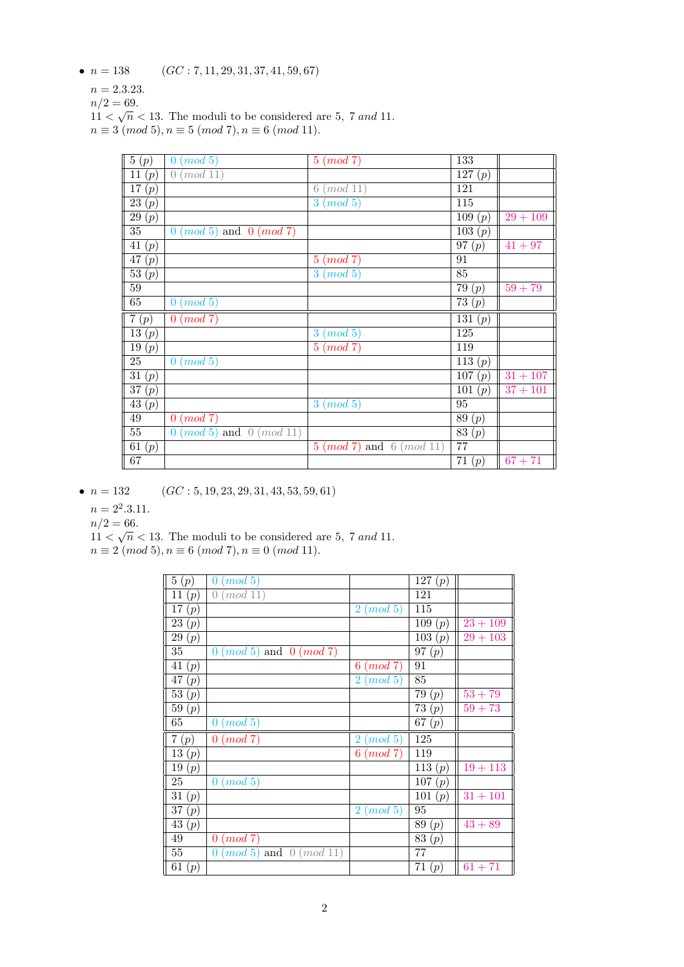•  $n = 138$  (GC : 7, 11, 29, 31, 37, 41, 59, 67)

 $n = 2.3.23.$ 

 $n/2 = 69.$ 

 $11 < \sqrt{n} < 13$ . The moduli to be considered are 5, 7 and 11.  $n \equiv 3 \pmod{5}, n \equiv 5 \pmod{7}, n \equiv 6 \pmod{11}.$ 

| 5(p)                            | $0 \ (mod\ 5)$                     | $5 \pmod{7}$                       | 133                    |                      |
|---------------------------------|------------------------------------|------------------------------------|------------------------|----------------------|
| $\overline{11}(p)$              | 0 (mod 11)                         |                                    | $\overline{1}27(p)$    |                      |
| $\overline{17(p)}$              |                                    | $6 \ (mod \ 11)$                   | 121                    |                      |
| $\overline{23}\ (p)$            |                                    | $3 \ (mod \ 5)$                    | $\overline{115}$       |                      |
| $\overline{29}\ (p)$            |                                    |                                    | $\overline{109}$ $(p)$ | $29 + 109$           |
| $\overline{35}$                 | $0 \ (mod\ 5)$ and $0 \ (mod\ 7)$  |                                    | $\overline{103}\,(p)$  |                      |
| $\overline{41(p)}$              |                                    |                                    | $\overline{97(p)}$     | $41 + 97$            |
| $\overline{47\ (p)}$            |                                    | $5 \pmod{7}$                       | 91                     |                      |
| $\overline{53}\ (p)$            |                                    | 3<br>(mod 5)                       | 85                     |                      |
| $\overline{59}$                 |                                    |                                    | $\overline{79}(p)$     | $59 + 79$            |
| 65                              | $0 \ (mod \ 5)$                    |                                    | $\overline{73}(p)$     |                      |
| $\overline{7(p)}$               | $0 \pmod{7}$                       |                                    | $\overline{131(p)}$    |                      |
| $\overline{13}(p)$              |                                    | $3 \pmod{5}$                       | 125                    |                      |
| $\overline{19(p)}$              |                                    | $5 \pmod{7}$                       | $\overline{119}$       |                      |
| $\overline{25}$                 | 0 (mod 5)                          |                                    | $\overline{113(p)}$    |                      |
| 31 $(p)$                        |                                    |                                    | $\overline{107}\ (p)$  | $31 + 107$           |
| $\overline{37(p)}$              |                                    |                                    | $\overline{101}$ $(p)$ | $\frac{1}{37} + 101$ |
| $\overline{43(p)}$              |                                    | $3 \pmod{5}$                       | $\overline{95}$        |                      |
| 49                              | $0 \ (mod\ 7)$                     |                                    | 89(p)                  |                      |
| $\overline{55}$                 | $0 \ (mod\ 5)$ and $0 \ (mod\ 11)$ |                                    | $\overline{83}\ (p)$   |                      |
| $\overline{61}\,(\overline{p})$ |                                    | $5 \ (mod\ 7)$ and $6 \ (mod\ 11)$ | 77                     |                      |
| 67                              |                                    |                                    | 71(p)                  | $67 + 71$            |

•  $n = 132$  (GC : 5, 19, 23, 29, 31, 43, 53, 59, 61)

 $n = 2^2 \cdot 3 \cdot 11.$ 

 $n/2 = 66.$ 

 $11 < \sqrt{n} < 13$ . The moduli to be considered are 5, 7 and 11.

 $n \equiv 2 \pmod{5}, n \equiv 6 \pmod{7}, n \equiv 0 \pmod{11}.$ 

| 5(p)                 | (mod 5)<br>$\overline{0}$          |                           | 127(p)                |                   |
|----------------------|------------------------------------|---------------------------|-----------------------|-------------------|
| 11(p)                | $\left( \right)$<br>mod 11         |                           | 121                   |                   |
| $\overline{17}(p)$   |                                    | $2 \pmod{5}$              | 115                   |                   |
| $\overline{2}3(p)$   |                                    |                           | 109 (p)               | $23 + 109$        |
| $\overline{29}(p)$   |                                    |                           | $\overline{103}\,(p)$ | $\sqrt{29} + 103$ |
| 35                   | $0 \ (mod\ 5)$ and $0 \ (mod\ 7)$  |                           | 97 $(p)$              |                   |
| 41 $(p)$             |                                    | $6 \pmod{7}$              | 91                    |                   |
| 47(p)                |                                    | $\overline{2}$<br>(mod 5) | 85                    |                   |
| $\overline{53}\ (p)$ |                                    |                           | 79(p)                 | $53 + 79$         |
| $\bar{5}9(p)$        |                                    |                           | $\overline{73}(p)$    | $\sqrt{59} + 73$  |
| 65                   | $\overline{0}$<br>(mod 5)          |                           | 67(p)                 |                   |
| 7(p)                 | $0 \pmod{7}$                       | $2 \pmod{5}$              | 125                   |                   |
| $\overline{13}(p)$   |                                    | $6 \ (mod\ 7)$            | 119                   |                   |
| $\overline{19}(p)$   |                                    |                           | $\overline{1}13(p)$   | $19 + 113$        |
| 25                   | $0 \ (mod\ 5)$                     |                           | $\overline{1}07(p)$   |                   |
| $\overline{31}(p)$   |                                    |                           | $\overline{1}01(p)$   | $31 + 101$        |
| $\overline{37}\ (p)$ |                                    | $2 \pmod{5}$              | 95                    |                   |
| $\overline{43}(p)$   |                                    |                           | 89(p)                 | $43 + 89$         |
| 49                   | $0 \pmod{7}$                       |                           | $\overline{83}(p)$    |                   |
| $55\,$               | $0 \ (mod\ 5)$ and $0 \ (mod\ 11)$ |                           | 77                    |                   |
| 61(p)                |                                    |                           | 71(p)                 | $61 + 71$         |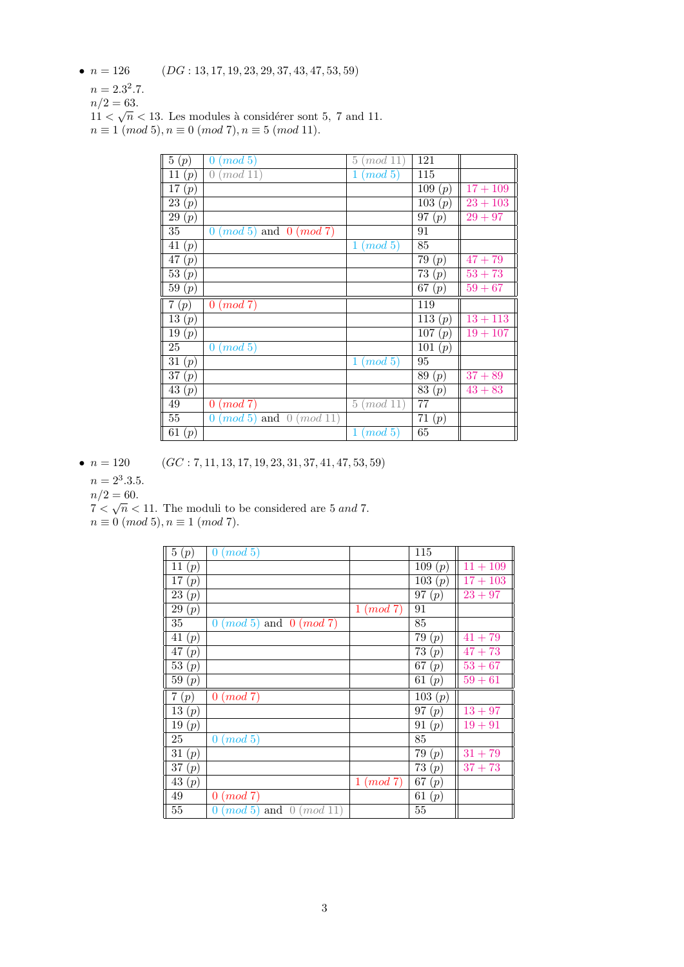- $n = 126$  (*DG* : 13, 17, 19, 23, 29, 37, 43, 47, 53, 59)
	- $n = 2.3^2.7.$
	- $n/2 = 63.$

 $11 < \sqrt{n} < 13$ . Les modules à considérer sont 5, 7 and 11.  $n \equiv 1 \pmod{5}, n \equiv 0 \pmod{7}, n \equiv 5 \pmod{11}.$ 

| 5(p)                 | $\overline{0}$<br>(mod 5)          | 5<br>(mod 11)           | 121                   |                      |
|----------------------|------------------------------------|-------------------------|-----------------------|----------------------|
| 11 $(p)$             | (mod 11)<br>$\left( \right)$       | (mod~5)<br>$\mathbf{1}$ | 115                   |                      |
| $\overline{17}(p)$   |                                    |                         | $\overline{109} (p)$  | $17 + 109$           |
| $\overline{23}(p)$   |                                    |                         | $\overline{10}3(p)$   | $23 + 103$           |
| 29(p)                |                                    |                         | $\overline{9}7(p)$    | $\sqrt{29} + 97$     |
| 35                   | $0 \ (mod\ 5)$ and $0 \ (mod\ 7)$  |                         | 91                    |                      |
| 41 $(p)$             |                                    | (mod 5)<br>$\mathbf{1}$ | 85                    |                      |
| $\overline{47}\,(p)$ |                                    |                         | $\overline{79}$ $(p)$ | $47 + 79$            |
| $\overline{53}\ (p)$ |                                    |                         | $\overline{73}(p)$    | $53 + 73$            |
| $\bar{5}9(p)$        |                                    |                         | $\overline{67}$ (p)   | $\overline{59} + 67$ |
| 7(p)                 | $0 \pmod{7}$                       |                         | 119                   |                      |
| $\overline{13}(p)$   |                                    |                         | $\overline{113}(p)$   | $13 + 113$           |
| 19(p)                |                                    |                         | $\overline{107} (p)$  | $19 + 107$           |
| 25                   | $0 \ (mod\ 5)$                     |                         | $\overline{101}(p)$   |                      |
| 31 $(p)$             |                                    | (mod 5)<br>$\mathbf{1}$ | 95                    |                      |
| $\overline{37}\,(p)$ |                                    |                         | $\overline{89}(p)$    | $37 + 89$            |
| $\overline{43}\ (p)$ |                                    |                         | $\overline{83}(p)$    | $43 + 83$            |
| 49                   | $0 \pmod{7}$                       | $5 \ (mod \ 11)$        | $77\,$                |                      |
| 55                   | $0 \ (mod\ 5)$ and $0 \ (mod\ 11)$ |                         | $\overline{71}$ $(p)$ |                      |
|                      |                                    |                         |                       |                      |

•  $n = 120$  (GC : 7, 11, 13, 17, 19, 23, 31, 37, 41, 47, 53, 59)

 $n = 2^3 \cdot 3 \cdot 5$ .

 $n/2 = 60.$ 

 $7 < \sqrt{n} < 11$ . The moduli to be considered are 5 and 7.

 $n \equiv 0 \pmod{5}, n \equiv 1 \pmod{7}.$ 

| 5(p)                 | (mod 5)<br>$\mathbf{0}$            |              | 115                   |            |
|----------------------|------------------------------------|--------------|-----------------------|------------|
| 11(p)                |                                    |              | 109 (p)               | $11 + 109$ |
| $\overline{17}(p)$   |                                    |              | $\overline{1}03(p)$   | $17 + 103$ |
| $\overline{23}(p)$   |                                    |              | $\overline{97}\,(p)$  | $23 + 97$  |
| $\overline{29}(p)$   |                                    | $1 \pmod{7}$ | 91                    |            |
| 35                   | $0 \ (mod\ 5)$ and $0 \ (mod\ 7)$  |              | 85                    |            |
| 41 $(p)$             |                                    |              | 79 $(p)$              | $41 + 79$  |
| $\overline{47}(p)$   |                                    |              | 73(p)                 | $47 + 73$  |
| $\overline{53}\ (p)$ |                                    |              | 67(p)                 | $53 + 67$  |
| 59(p)                |                                    |              | 61(p)                 | $59 + 61$  |
| 7(p)                 | $0 \pmod{7}$                       |              | $\overline{10}3(p)$   |            |
| $\overline{13}(p)$   |                                    |              | 97(p)                 | $13 + 97$  |
| 19(p)                |                                    |              | $\overline{91}$ $(p)$ | $19 + 91$  |
| 25                   | $0 \pmod{5}$                       |              | 85                    |            |
| $\overline{3}1(p)$   |                                    |              | 79(p)                 | $31 + 79$  |
| $\overline{37}(p)$   |                                    |              | $\overline{73}$ $(p)$ | $37 + 73$  |
| $\overline{43}(p)$   |                                    | $1 \pmod{7}$ | $\bar{6}7(p)$         |            |
| 49                   | $0 \pmod{7}$                       |              | $\bar{6}1(p)$         |            |
| 55                   | $0 \ (mod\ 5)$ and $0 \ (mod\ 11)$ |              | 55                    |            |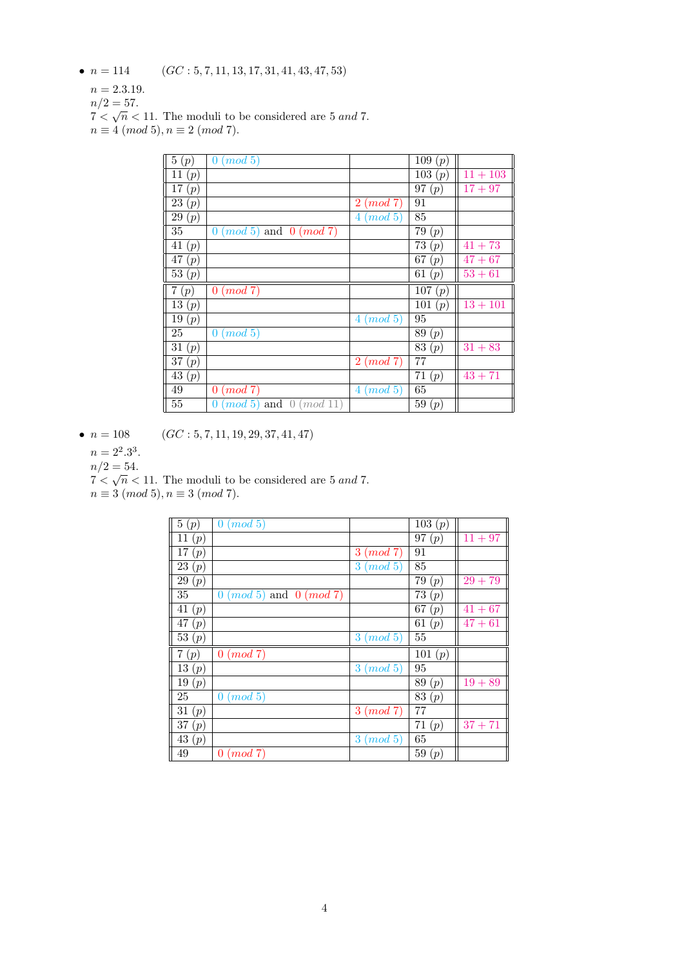•  $n = 114$  (GC : 5, 7, 11, 13, 17, 31, 41, 43, 47, 53)

 $n = 2.3.19.$ 

 $n/2 = 57.$ 

 $7 < \sqrt{n} < 11$ . The moduli to be considered are 5 and 7.

 $n \equiv 4 \pmod{5}, n \equiv 2 \pmod{7}.$ 

| 5(p)                 | $\overline{0}$<br>(mod 5)         |                           | 109(p)    |            |
|----------------------|-----------------------------------|---------------------------|-----------|------------|
| 11 $(p)$             |                                   |                           | 103(p)    | $11 + 103$ |
| 17(p)                |                                   |                           | 97(p)     | $17 + 97$  |
| 23(p)                |                                   | $2 \pmod{7}$              | 91        |            |
| 29(p)                |                                   | $4 \pmod{5}$              | 85        |            |
| 35                   | $0 \ (mod\ 5)$ and $0 \ (mod\ 7)$ |                           | 79<br>(p) |            |
| 41 $(p)$             |                                   |                           | 73<br>(p) | $41 + 73$  |
| 47(p)                |                                   |                           | 67<br>(p) | $47 + 67$  |
| $\overline{53}(p)$   |                                   |                           | 61<br>(p) | $53 + 61$  |
|                      |                                   |                           |           |            |
| 7(p)                 | $0 \pmod{7}$                      |                           | 107(p)    |            |
| $\overline{1}3(p)$   |                                   |                           | 101 $(p)$ | $13 + 101$ |
| 19(p)                |                                   | (mod 5)<br>4              | 95        |            |
| 25                   | (mod 5)<br>$\overline{0}$         |                           | 89<br>(p) |            |
| 31 $(p)$             |                                   |                           | 83<br>(p) | $31 + 83$  |
| $\overline{37}\ (p)$ |                                   | $2 \pmod{7}$              | 77        |            |
| 43(p)                |                                   |                           | 71<br>(p) | $43 + 71$  |
| 49                   | $0 \ (mod\ 7)$                    | (mod 5)<br>$\overline{4}$ | 65        |            |

•  $n = 108$  (GC : 5, 7, 11, 19, 29, 37, 41, 47)

 $n = 2^2 \cdot 3^3$ .

 $n/2 = 54.$ 

 $7 < \sqrt{n} < 11$ . The moduli to be considered are 5 and 7.

| $n \equiv 3 \ (mod \ 5), n \equiv 3 \ (mod \ 7).$ |  |  |  |  |  |
|---------------------------------------------------|--|--|--|--|--|
|---------------------------------------------------|--|--|--|--|--|

| 5(p)               | (mod 5)<br>$\overline{0}$         |              | 103 (p)  |                      |
|--------------------|-----------------------------------|--------------|----------|----------------------|
| 11 $(p)$           |                                   |              | 97(p)    | $11 + 97$            |
| 17(p)              |                                   | $3 \pmod{7}$ | 91       |                      |
| 23(p)              |                                   | $3 \pmod{5}$ | 85       |                      |
| 29(p)              |                                   |              | 79(p)    | $29 + 79$            |
| 35                 | $0 \ (mod\ 5)$ and $0 \ (mod\ 7)$ |              | 73(p)    |                      |
| 41 $(p)$           |                                   |              | 67(p)    | $41 + 67$            |
| 47(p)              |                                   |              | 61 $(p)$ | $\overline{4}7 + 61$ |
| $\overline{53}(p)$ |                                   | $3 \pmod{5}$ | $55\,$   |                      |
| 7(p)               | $0 \ (mod\ 7)$                    |              | 101 (p)  |                      |
| 13(p)              |                                   | $3 \pmod{5}$ | 95       |                      |
| 19(p)              |                                   |              | 89(p)    | $19 + 89$            |
| 25                 | $0 \ (mod\ 5)$                    |              | 83(p)    |                      |
| 31 $(p)$           |                                   | $3 \pmod{7}$ | 77       |                      |
| 37(p)              |                                   |              | 71(p)    | $37 + 71$            |
| 43(p)              |                                   | $3 \pmod{5}$ | 65       |                      |
| 49                 | $0 \ (mod\ 7)$                    |              | 59(p)    |                      |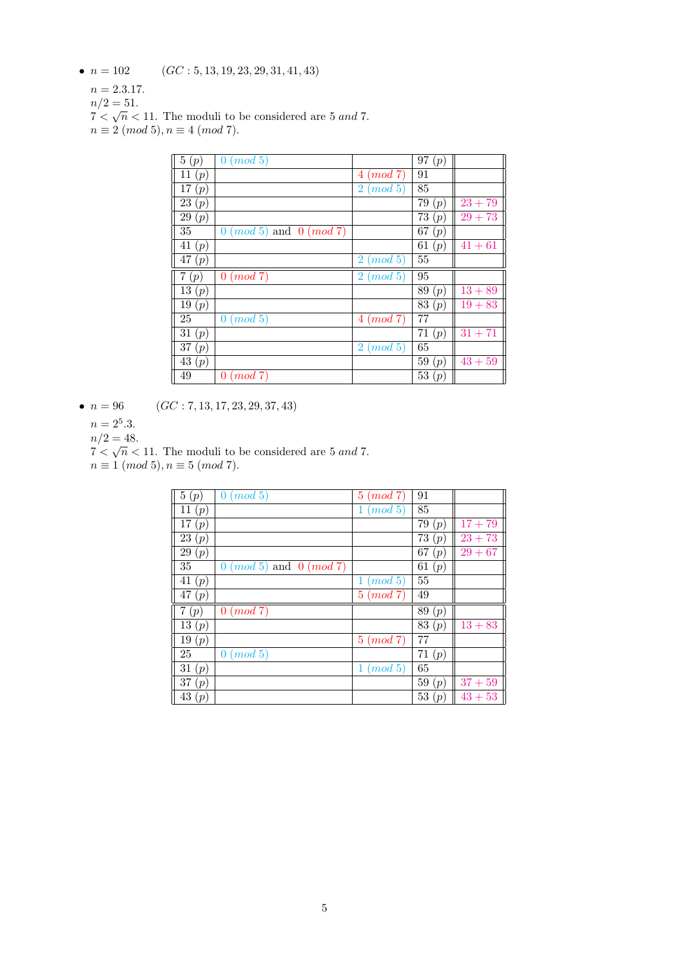•  $n = 102$  (GC : 5, 13, 19, 23, 29, 31, 41, 43)

 $n = 2.3.17.$ 

 $n/2 = 51.$ 

 $7 < \sqrt{n} < 11$ . The moduli to be considered are 5 and 7.

 $n \equiv 2 \pmod{5}, n \equiv 4 \pmod{7}.$ 

| 5(p)               | (mod 5)<br>$\overline{0}$         |                              | 97(p)     |           |
|--------------------|-----------------------------------|------------------------------|-----------|-----------|
| 11 $(p)$           |                                   | $4 \pmod{7}$                 | 91        |           |
| 17(p)              |                                   | $\overline{2}$<br>(mod 5)    | 85        |           |
| 23(p)              |                                   |                              | 79(p)     | $23 + 79$ |
| 29(p)              |                                   |                              | 73 $(p)$  | $29 + 73$ |
| 35                 | $0 \ (mod\ 5)$ and $0 \ (mod\ 7)$ |                              | 67<br>(p) |           |
| 41 $(p)$           |                                   |                              | 61<br>(p) | $41 + 61$ |
| $\overline{47}(p)$ |                                   | $\pmod{5}$<br>$\overline{2}$ | 55        |           |
|                    |                                   |                              |           |           |
| 7(p)               | $0 \pmod{7}$                      | (mod 5)<br>2                 | 95        |           |
| 13(p)              |                                   |                              | 89(p)     | $13 + 89$ |
| 19(p)              |                                   |                              | 83<br>(p) | $19 + 83$ |
| 25                 | (mod 5)<br>$\overline{0}$         | $4 \pmod{7}$                 | 77        |           |
| 31 $(p)$           |                                   |                              | 71 $(p)$  | $31 + 71$ |
| 37(p)              |                                   | $2 \pmod{5}$                 | 65        |           |
| 43(p)              |                                   |                              | 59(p)     | $43 + 59$ |

•  $n = 96$  (GC : 7, 13, 17, 23, 29, 37, 43)

 $n = 2^5.3$ .

 $n/2 = 48.$ 

 $7 < \sqrt{n} < 11$ . The moduli to be considered are 5 and 7.

 $n \equiv 1 \pmod{5}, n \equiv 5 \pmod{7}.$ 

| 5(p)               | (mod 5)<br>$\overline{0}$         | (mod 7)<br>5            | 91        |           |
|--------------------|-----------------------------------|-------------------------|-----------|-----------|
| 11(p)              |                                   | (mod~5)<br>т.           | 85        |           |
| 17 $(p)$           |                                   |                         | 79<br>(p) | $17 + 79$ |
| 23(p)              |                                   |                         | 73<br>(p) | $23 + 73$ |
| 29(p)              |                                   |                         | 67<br>(p) | $29 + 67$ |
| $35\,$             | $0 \ (mod\ 5)$ and $0 \ (mod\ 7)$ |                         | 61<br>(p) |           |
| 41 $(p)$           |                                   | (mod~5)<br>1            | 55        |           |
| $\overline{47}(p)$ |                                   | (mod 7)<br>5            | 49        |           |
| 7<br>(p)           | $0 \ (mod 7)$                     |                         | 89<br>(p) |           |
| $\overline{13}(p)$ |                                   |                         | 83<br>(p) | $13 + 83$ |
| 19(p)              |                                   | $5 \ (mod\ 7)$          | 77        |           |
| 25                 | (mod 5)<br>$\overline{0}$         |                         | 71<br>(p) |           |
| 31 $(p)$           |                                   | (mod 5)<br>$\mathbf{1}$ | 65        |           |
| 37(p)              |                                   |                         | 59<br>(p) | $37 + 59$ |
| 43(p)              |                                   |                         | 53<br>(p) | $43 + 53$ |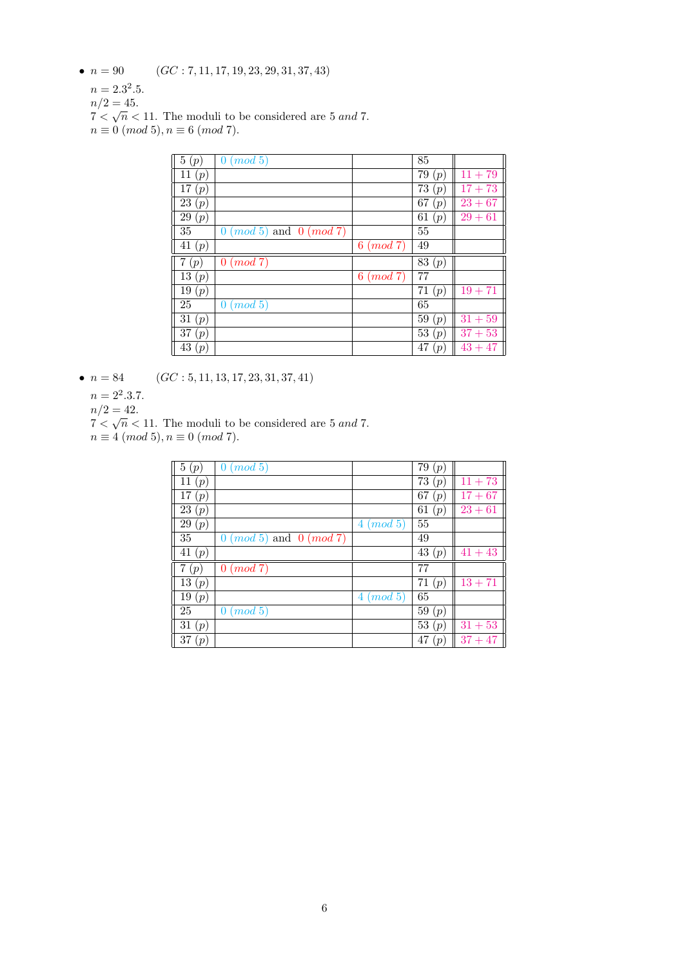- $n = 90$   $(GC: 7, 11, 17, 19, 23, 29, 31, 37, 43)$ 
	- $n = 2.3^2.5.$
	- $n/2 = 45.$
	- $7 < \sqrt{n} < 11$ . The moduli to be considered are 5 and 7.
	- $n \equiv 0 \pmod{5}, n \equiv 6 \pmod{7}.$

| 5(p)     | (mod 5)<br>$\theta$               |                | 85        |           |
|----------|-----------------------------------|----------------|-----------|-----------|
| 11 $(p)$ |                                   |                | 79(p)     | $11 + 79$ |
| 17 $(p)$ |                                   |                | 73<br>(p) | $17 + 73$ |
| 23(p)    |                                   |                | 67<br>(p) | $23 + 67$ |
| 29(p)    |                                   |                | 61<br>(p) | $29 + 61$ |
| 35       | $0 \ (mod\ 5)$ and $0 \ (mod\ 7)$ |                | 55        |           |
| 41 $(p)$ |                                   | (mod 7)<br>6   | 49        |           |
| (p)      | (mod 7)<br>$\overline{0}$         |                | 83(p)     |           |
| 13(p)    |                                   | $6 \ (mod\ 7)$ | 77        |           |
| 19(p)    |                                   |                | 71(p)     | $19 + 71$ |
| 25       | $0 \ (mod\ 5)$                    |                | 65        |           |
| 31 $(p)$ |                                   |                | 59 $(p)$  | $31 + 59$ |
| 37(p)    |                                   |                | 53<br>(p) | $37 + 53$ |
| 43(p)    |                                   |                | 47<br>(p) | $43 + 47$ |

•  $n = 84$  (GC : 5, 11, 13, 17, 23, 31, 37, 41)

 $n = 2^2 \cdot 3 \cdot 7$ .

 $n/2 = 42.$ 

- $7 < \sqrt{n} < 11$ . The moduli to be considered are 5 and 7.
- $n \equiv 4 \pmod{5}, n \equiv 0 \pmod{7}.$

| 5(p)               | (mod 5)<br>0                                  |              | 79<br>(p) |           |
|--------------------|-----------------------------------------------|--------------|-----------|-----------|
| $\overline{11}(p)$ |                                               |              | 73<br>(p) | $11 + 73$ |
| 17(p)              |                                               |              | 67<br>(p) | $17 + 67$ |
| 23(p)              |                                               |              | 61<br>(p) | $23 + 61$ |
| 29(p)              |                                               | (mod 5)<br>4 | 55        |           |
| 35                 | $(mod 5)$ and $0 (mod 7)$<br>$\mid 0 \rangle$ |              | 49        |           |
| 41 $(p)$           |                                               |              | 43(p)     | $41 + 43$ |
| (p)                | (mod 7)<br>$\overline{0}$                     |              | 77        |           |
| 13(p)              |                                               |              | 71<br>(p) | $13 + 71$ |
| 19(p)              |                                               | (mod 5)<br>4 | 65        |           |
| 25                 | (mod 5)<br>$\overline{0}$                     |              | 59<br>(p) |           |
| 31(p)              |                                               |              | 53<br>(p) | $31 + 53$ |
| 37<br>(p)          |                                               |              | 47<br>(p) | $37 + 47$ |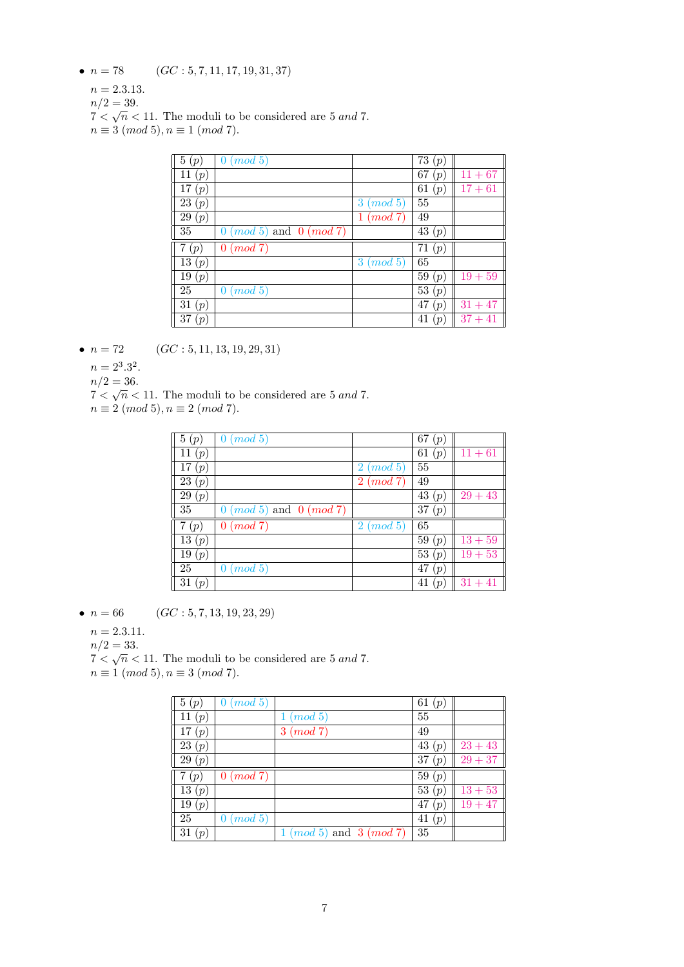- $n = 78$  (GC : 5, 7, 11, 17, 19, 31, 37)
	- $n = 2.3.13.$
	- $n/2 = 39.$
	- $7 < \sqrt{n} < 11$ . The moduli to be considered are 5 and 7.
	- $n \equiv 3 \pmod{5}, n \equiv 1 \pmod{7}.$

| 5(p)     | (mod 5)<br>0                                |              | 73<br>(p) |           |
|----------|---------------------------------------------|--------------|-----------|-----------|
| 11 $(p)$ |                                             |              | 67<br>(p) | $11 + 67$ |
| 17 $(p)$ |                                             |              | 61<br>(p) | $17 + 61$ |
| 23(p)    |                                             | (mod 5)<br>3 | 55        |           |
| 29(p)    |                                             | (mod 7)<br>1 | 49        |           |
| 35       | $(mod 5)$ and $0 (mod 7)$<br>$\overline{0}$ |              | 43(p)     |           |
| (p)      | (mod 7)<br>$\overline{0}$                   |              | 71<br>(p) |           |
| 13 $(p)$ |                                             | (mod~5)<br>3 | 65        |           |
|          |                                             |              |           |           |
| 19(p)    |                                             |              | 59<br>(p) | $19 + 59$ |
| 25       | (mod 5)<br>$\overline{0}$                   |              | 53<br>(p) |           |
| 31(p)    |                                             |              | 47<br>(p) | $31 + 47$ |

- $n = 72$  (GC : 5, 11, 13, 19, 29, 31)
	- $n = 2^3 \cdot 3^2$ .
	- $n/2 = 36.$

 $7 < \sqrt{n} < 11$ . The moduli to be considered are 5 and 7.

 $n \equiv 2 \pmod{5}, n \equiv 2 \pmod{7}.$ 

| 5(p)               | (mod 5)<br>0                      |                           | 67<br>(p) |           |
|--------------------|-----------------------------------|---------------------------|-----------|-----------|
| 11 $(p)$           |                                   |                           | 61<br>(p) | $11 + 61$ |
| 17(p)              |                                   | (mod 5)<br>$\overline{2}$ | 55        |           |
| $\overline{23}(p)$ |                                   | $\overline{2}$<br>(mod 7) | 49        |           |
| 29(p)              |                                   |                           | 43<br>(p) | $29 + 43$ |
| 35                 | $0 \ (mod\ 5)$ and $0 \ (mod\ 7)$ |                           | 37<br>(p) |           |
| 7(p)               | (mod 7)<br>0                      | (mod 5)<br>$\overline{2}$ | 65        |           |
| 13(p)              |                                   |                           | 59 $(p)$  | $13 + 59$ |
| 19(p)              |                                   |                           | 53<br>(p) | $19 + 53$ |
| 25                 | $0 \ (mod\ 5)$                    |                           | 47<br>(p) |           |
| 31(p)              |                                   |                           | 41<br>(p) | $31 + 41$ |

•  $n = 66$  (GC : 5, 7, 13, 19, 23, 29)

 $n = 2.3.11.$ 

$$
n/2=33.
$$

 $n/2 = 33.$ <br> $7 < \sqrt{n} < 11$ . The moduli to be considered are 5 and 7.

 $n \equiv 1 \pmod{5}, n \equiv 3 \pmod{7}.$ 

| 5(p)               | (mod 5)<br>0 |                                 | 61 $(p)$  |           |
|--------------------|--------------|---------------------------------|-----------|-----------|
| 11(p)              |              | (mod 5)                         | 55        |           |
| 17 $(p)$           |              | (mod 7)<br>3                    | 49        |           |
| $\overline{23}(p)$ |              |                                 | 43<br>(p) | $23 + 43$ |
| 29(p)              |              |                                 | 37(p)     | $29 + 37$ |
| 7(p)               | (mod 7)<br>0 |                                 | 59 $(p)$  |           |
| $\overline{1}3(p)$ |              |                                 | 53 $(p)$  | $13 + 53$ |
| 19(p)              |              |                                 | 47<br>(p) | $19 + 47$ |
| 25                 | (mod 5)<br>0 |                                 | 41<br>(p) |           |
| 31(p)              |              | $1 \ (mod 5)$ and $3 \ (mod 7)$ | 35        |           |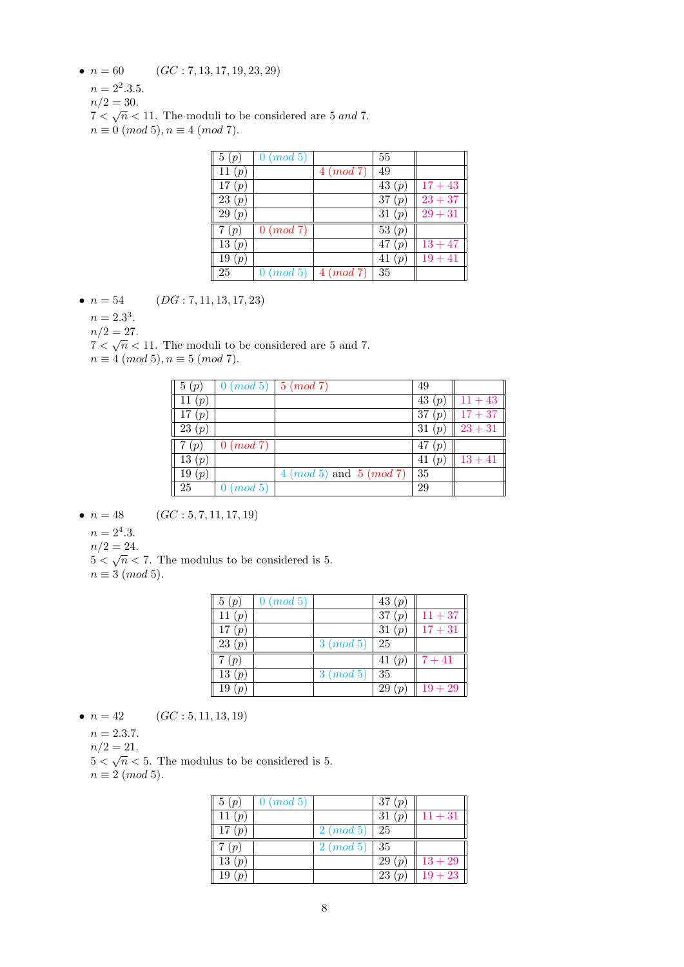- $n = 60$   $(GC: 7, 13, 17, 19, 23, 29)$ 
	- $n = 2^2 \cdot 3 \cdot 5$ .
	- $n/2 = 30$ .
	- $n/2 = 30.$ <br> $7 < \sqrt{n} < 11$ . The moduli to be considered are 5 and 7.
	- $n \equiv 0 \pmod{5}, n \equiv 4 \pmod{7}.$

| 5(p)               | $0 \ (mod\ 5)$ |              | 55        |           |
|--------------------|----------------|--------------|-----------|-----------|
| 11 $(p)$           |                | $4 \pmod{7}$ | 49        |           |
| 17 $(p)$           |                |              | 43 $(p)$  | $17 + 43$ |
| 23(p)              |                |              | 37(p)     | $23 + 37$ |
| $\overline{29}(p)$ |                |              | 31(p)     | $29 + 31$ |
| (p                 | $0 \pmod{7}$   |              | 53 $(p)$  |           |
| 13(p)              |                |              | 47<br>(p  | $13 + 47$ |
| 19(p)              |                |              | 41<br>(p) | $19 + 41$ |
| 25                 | $0 \ (mod\ 5)$ | $4 \pmod{7}$ | 35        |           |

- $n = 54$  (DG : 7, 11, 13, 17, 23)
	- $n = 2.3^3$ .

 $n/2 = 27$ .

 $n/2 = 21$ .<br> $7 < \sqrt{n} < 11$ . The moduli to be considered are 5 and 7.

 $n \equiv 4 \pmod{5}, n \equiv 5 \pmod{7}.$ 

| 5(p)     | $0 \ (mod\ 5) \   \ 5 \ (mod\ 7)$ |                                 | 49        |           |
|----------|-----------------------------------|---------------------------------|-----------|-----------|
| 11 $(p)$ |                                   |                                 | 43 $(p)$  | $11 + 43$ |
| 17(p)    |                                   |                                 | 37 $(p)$  | $17 + 37$ |
| 23(p)    |                                   |                                 | 31 $(p)$  | $23 + 31$ |
| (p       | $0 \ (mod\ 7)$                    |                                 | 47 $(p)$  |           |
| 13(p)    |                                   |                                 | 41<br>(p) | $13 + 41$ |
| 19 $(p)$ |                                   | $4 \ (mod 5)$ and $5 \ (mod 7)$ | 35        |           |
| 25       | $0 \ (mod \ 5)$                   |                                 | 29        |           |

- $n = 48$  (GC : 5, 7, 11, 17, 19)
	- $n = 2^4.3$ .
	- $n/2 = 24.$

 $m/2 = 24.$ <br>5  $\lt \sqrt{n}$   $\lt 7$ . The modulus to be considered is 5.  $n \equiv 3 \pmod{5}$ .

| 5(p)     | $0 \ (mod \ 5)$ |              | 43 $(p)$ |           |
|----------|-----------------|--------------|----------|-----------|
| 11 $(p)$ |                 |              | 37(p)    | $11 + 37$ |
| 17(p)    |                 |              | 31 $(p)$ | $17 + 31$ |
| 23(p)    |                 | $3 \pmod{5}$ | 25       |           |
| 7(p)     |                 |              | 41 $(p)$ | $7 + 41$  |
| 13(p)    |                 | $3 \pmod{5}$ | 35       |           |
| 19       |                 |              | 29       | $19 + 29$ |

- $n = 42$  (GC : 5, 11, 13, 19)
	- $n = 2.3.7.$
	- $n/2 = 21.$

 $\frac{n}{2} - 21$ .<br>5  $\lt \sqrt{n} \lt 5$ . The modulus to be considered is 5.

 $n \equiv 2 \pmod{5}$ .

| 5(p)     | $0 \ (mod\ 5)$ |              | 37 $(p)$                |           |
|----------|----------------|--------------|-------------------------|-----------|
| 11 $(p)$ |                |              | 31(p)                   | $11 + 31$ |
| 17(p)    |                | $2 \pmod{5}$ | -25                     |           |
| 7(p)     |                | $2 \pmod{5}$ | 35                      |           |
| 13(p)    |                |              | 29<br>(p <sub>1</sub> ) | $13 + 29$ |
| 19(p)    |                |              | 23<br>(p)               | $19 + 23$ |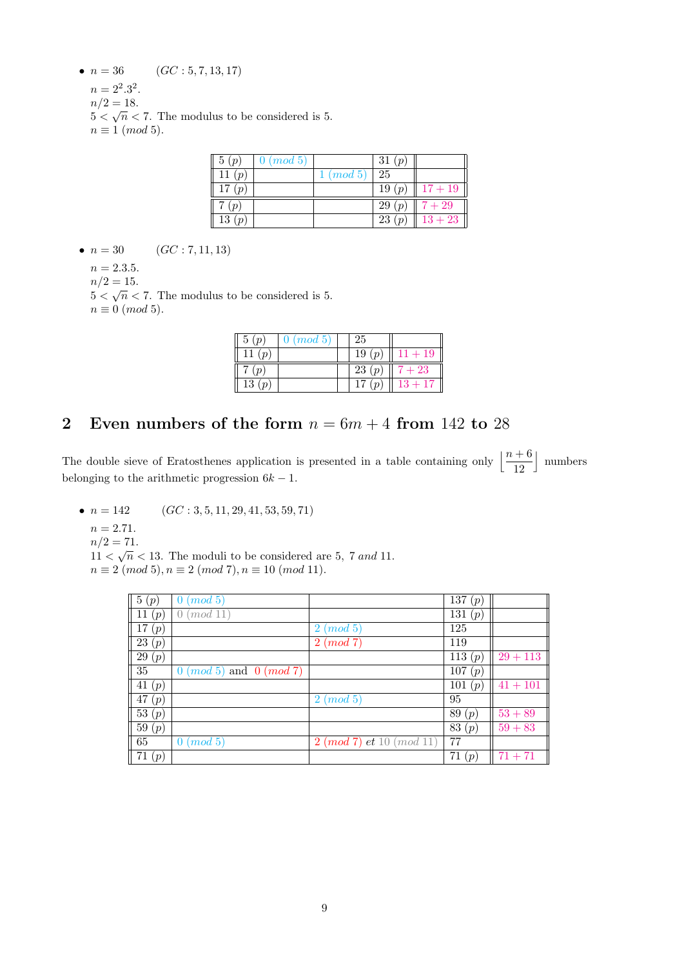- $n = 36$   $(GC: 5, 7, 13, 17)$ 
	- $n = 2^2 \cdot 3^2$ .

 $n/2 = 18.$  $5 < \sqrt{n} < 7$ . The modulus to be considered is 5.

 $n \equiv 1 \pmod{5}$ .

| 5(p)     | $\mid 0 \pmod{5}$ |              | 31(p) |                  |
|----------|-------------------|--------------|-------|------------------|
| 11 $(p)$ |                   | $1 \pmod{5}$ | 25    |                  |
| 17(p)    |                   |              | 19(p) | $\sqrt{17} + 19$ |
| 7(p)     |                   |              | 29(p) | $7 + 29$         |
| 13(p)    |                   |              | 23(p) | $13 + 23$        |

•  $n = 30$  (GC : 7, 11, 13)

 $n = 2.3.5.$ 

 $n/2 = 15.$ 

 $5 < \sqrt{n} < 7$ . The modulus to be considered is 5.  $n \equiv 0 \pmod{5}$ .

| 5(p)                    | $0 \pmod{5}$ | 25                      |           |
|-------------------------|--------------|-------------------------|-----------|
| 11 $(p)$                |              | 19(p)                   | $11 + 19$ |
| 7(p)                    |              | 23(p)                   | $7 + 23$  |
| 13<br>(p <sub>o</sub> ) |              | 17<br>(p <sub>i</sub> ) | $13 + 17$ |

## 2 Even numbers of the form  $n = 6m + 4$  from 142 to 28

The double sieve of Eratosthenes application is presented in a table containing only  $\left\lfloor \frac{n+6}{12} \right\rfloor$ | numbers belonging to the arithmetic progression  $6k - 1$ .

- $n = 142$  (GC : 3, 5, 11, 29, 41, 53, 59, 71)
	- $n = 2.71.$
	- $n/2 = 71.$

 $11 < \sqrt{n} < 13$ . The moduli to be considered are 5, 7 and 11.

 $n \equiv 2 \pmod{5}, n \equiv 2 \pmod{7}, n \equiv 10 \pmod{11}.$ 

| $\lceil 5(p) \rceil$  | (mod~5)<br>0                      |                             | $\bar{1}37(p)$ |            |
|-----------------------|-----------------------------------|-----------------------------|----------------|------------|
| 11 $(p)$              | (mod 11)<br>$\cup$                |                             | 131<br>(p)     |            |
| 17<br>(p)             |                                   | (mod~5)<br>$\overline{2}$   | 125            |            |
| 23(p)                 |                                   | (mod 7)<br>$\overline{2}$   | 119            |            |
| $\overline{29}(p)$    |                                   |                             | $\bar{1}13(p)$ | $29 + 113$ |
| 35                    | $0 \ (mod\ 5)$ and $0 \ (mod\ 7)$ |                             | 107<br>(p)     |            |
| $\overline{41}(p)$    |                                   |                             | 101<br>(p)     | $41 + 101$ |
| 47<br>(p)             |                                   | (mod 5)<br>$\overline{2}$   | 95             |            |
| $\overline{53}\,(p)$  |                                   |                             | 89 $(p)$       | $53 + 89$  |
| $\overline{59}$ $(p)$ |                                   |                             | 83(p)          | $59 + 83$  |
| 65                    | $0 \ (mod\ 5)$                    | $2 \pmod{7}$ et 10 (mod 11) | 77             |            |
| 71(p)                 |                                   |                             | 71 $(p)$       | $71 + 71$  |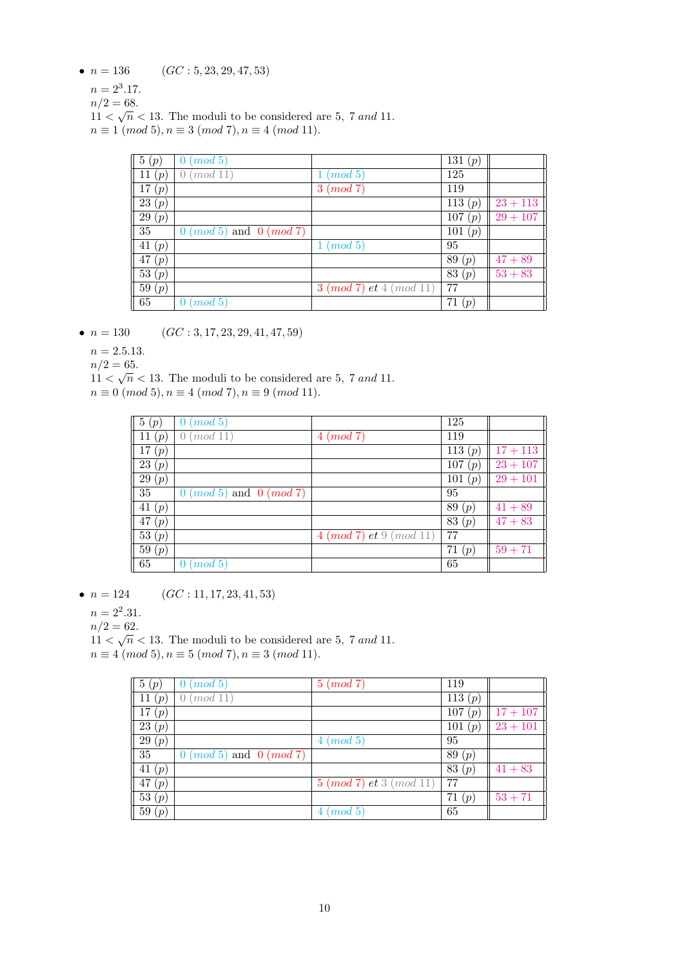- $n = 136$   $(GC: 5, 23, 29, 47, 53)$ 
	- $n = 2^3.17$ .
	- $n/2 = 68.$
	- $11 < \sqrt{n} < 13$ . The moduli to be considered are 5, 7 and 11.  $n \equiv 1 \pmod{5}, n \equiv 3 \pmod{7}, n \equiv 4 \pmod{11}.$

| 5(p)               | (mod~5)                           |                               | 131 $(p)$      |            |
|--------------------|-----------------------------------|-------------------------------|----------------|------------|
| 11 $(p)$           | $\mod 11$                         | (mod~5)                       | 125            |            |
| $\bar{1}7(p)$      |                                   | $3 \pmod{7}$                  | 119            |            |
| $\overline{23}(p)$ |                                   |                               | $\bar{1}13(p)$ | $23 + 113$ |
| $\overline{29}(p)$ |                                   |                               | $\bar{1}07(p)$ | $29 + 107$ |
| $\overline{35}$    | $0 \ (mod\ 5)$ and $0 \ (mod\ 7)$ |                               | 101 (p)        |            |
| 41(p)              |                                   | $1 \ (mod \ 5)$               | 95             |            |
| $\overline{47}(p)$ |                                   |                               | 89(p)          | $47 + 89$  |
| $\overline{53}(p)$ |                                   |                               | 83 $(p)$       | $53 + 83$  |
| 59(p)              |                                   | $3 \pmod{7}$ et $4 \pmod{11}$ | 77             |            |
| 65                 | (mod 5)                           |                               | 71(p)          |            |

•  $n = 130$  (GC : 3, 17, 23, 29, 41, 47, 59)

 $n = 2.5.13.$ 

 $n/2 = 65.$ 

 $11 < \sqrt{n} < 13$ . The moduli to be considered are 5, 7 and 11.  $n \equiv 0 \pmod{5}, n \equiv 4 \pmod{7}, n \equiv 9 \pmod{11}.$ 

| 5(p)               | (mod~5)                           |                               | 125        |            |
|--------------------|-----------------------------------|-------------------------------|------------|------------|
| 11<br>(p)          | (mod 11)                          | $4 \pmod{7}$                  | 119        |            |
| 17(p)              |                                   |                               | 113 $(p)$  | $17 + 113$ |
| 23(p)              |                                   |                               | 107<br>(p) | $23 + 107$ |
| $\overline{29}(p)$ |                                   |                               | 101<br>(p) | $29 + 101$ |
| $\overline{35}$    | $0 \ (mod\ 5)$ and $0 \ (mod\ 7)$ |                               | 95         |            |
| 41 $(p)$           |                                   |                               | 89(p)      | $41 + 89$  |
| $\overline{47}(p)$ |                                   |                               | 83 $(p)$   | $47 + 83$  |
| 53(p)              |                                   | $4 \pmod{7}$ et $9 \pmod{11}$ | 77         |            |
| 59(p)              |                                   |                               | 71<br>(p)  | $59 + 71$  |
| 65                 | (mod~5)                           |                               | 65         |            |

•  $n = 124$  (GC : 11, 17, 23, 41, 53)

 $n = 2^2.31$ .

 $n/2 = 62.$ 

 $11 < \sqrt{n} < 13$ . The moduli to be considered are 5, 7 and 11.  $n \equiv 4 \pmod{5}, n \equiv 5 \pmod{7}, n \equiv 3 \pmod{11}.$ 

| 5(p)                  | $0 \ (mod\ 5)$                    | $5 \pmod{7}$                  | 119       |            |
|-----------------------|-----------------------------------|-------------------------------|-----------|------------|
| 11<br>(p              | (mod 11)                          |                               | 113 $(p)$ |            |
| $\overline{17}(p)$    |                                   |                               | 107(p)    | $17 + 107$ |
| $\overline{23}(p)$    |                                   |                               | 101 $(p)$ | $23 + 101$ |
| 29(p)                 |                                   | $4 \ (mod \ 5)$               | 95        |            |
| 35                    | $0 \ (mod\ 5)$ and $0 \ (mod\ 7)$ |                               | 89 $(p)$  |            |
| $-41(p)$              |                                   |                               | 83 $(p)$  | $41 + 83$  |
| 47(p)                 |                                   | $5 \pmod{7}$ et $3 \pmod{11}$ | 77        |            |
| $\bar{5}3(p)$         |                                   |                               | 71 $(p)$  | $53 + 71$  |
| $\overline{59}$ $(p)$ |                                   | (mod 5)<br>4                  | 65        |            |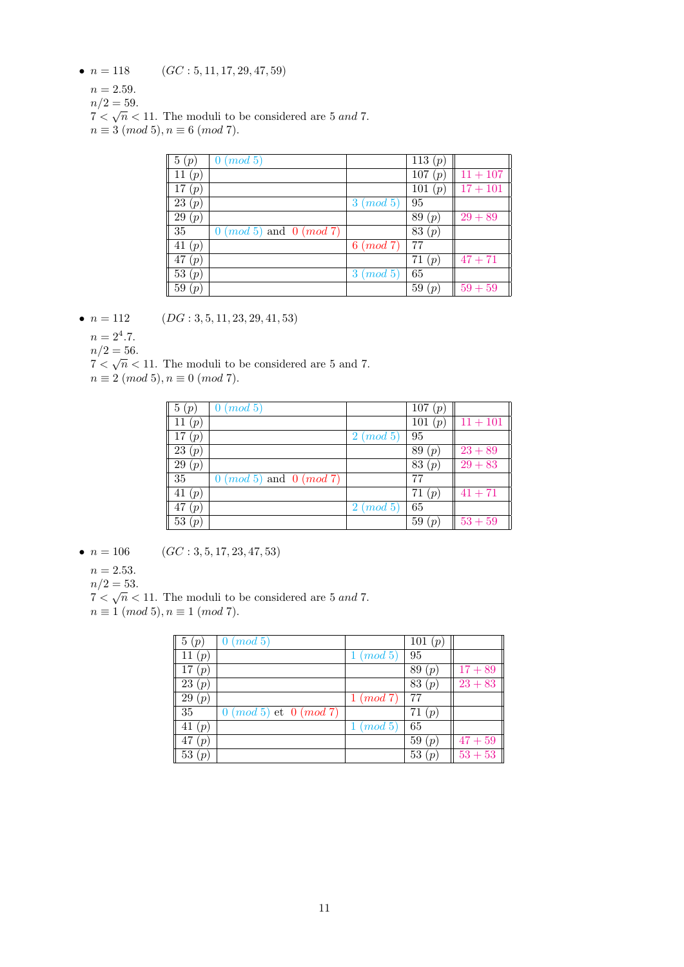- $n = 118$  (GC : 5, 11, 17, 29, 47, 59)
	- $n = 2.59$ .
	- $n/2 = 59.$
	- $7 < \sqrt{n} < 11$ . The moduli to be considered are 5 and 7.
	- $n \equiv 3 \pmod{5}, n \equiv 6 \pmod{7}.$

| 5(p)     | (mod 5)<br>O                      |                           | 113 $(p)$               |            |
|----------|-----------------------------------|---------------------------|-------------------------|------------|
| 11 $(p)$ |                                   |                           | 107<br>(p)              | $11 + 107$ |
| 17(p)    |                                   |                           | 101<br>(p)              | $17 + 101$ |
| 23(p)    |                                   | (mod 5)<br>3              | 95                      |            |
| 29(p)    |                                   |                           | 89<br>(p)               | $29 + 89$  |
| 35       | $0 \ (mod\ 5)$ and $0 \ (mod\ 7)$ |                           | 83 $(p)$                |            |
| 41 $(p)$ |                                   | $6 \ (mod\ 7)$            | 77                      |            |
| 47 $(p)$ |                                   |                           | 71<br>(p)               | $47 + 71$  |
| 53 $(p)$ |                                   | (mod 5)<br>3 <sup>1</sup> | 65                      |            |
| 59(p)    |                                   |                           | 59<br>$\left( p\right)$ | $59 + 59$  |

- $n = 112$  (DG : 3, 5, 11, 23, 29, 41, 53)
	- $n = 2^4.7$ .

 $n/2 = 56$ .

 $n/2 = 30$ .<br> $7 < \sqrt{n} < 11$ . The moduli to be considered are 5 and 7.

 $n \equiv 2 \pmod{5}, n \equiv 0 \pmod{7}.$ 

| 5(p)      | (mod 5)<br>O                      |         | 107(p)     |            |
|-----------|-----------------------------------|---------|------------|------------|
| 11 $(p)$  |                                   |         | 101<br>(p) | $11 + 101$ |
| 17 $(p)$  |                                   | (mod~5) | 95         |            |
| 23(p)     |                                   |         | 89<br>(p)  | $23 + 89$  |
| 29(p)     |                                   |         | 83<br>(p)  | $29 + 83$  |
| $35\,$    | $0 \ (mod\ 5)$ and $0 \ (mod\ 7)$ |         | 77         |            |
| 41 (p)    |                                   |         | 71<br>(p)  | $41 + 71$  |
| 47<br>(p) |                                   | (mod~5) | 65         |            |
| 53(p)     |                                   |         | 59<br>(p)  | $53 + 59$  |

•  $n = 106$  (GC : 3, 5, 17, 23, 47, 53)

```
n = 2.53.
```
 $n/2 = 53.$ 

 $7 < \sqrt{n} < 11$ . The moduli to be considered are 5 and 7.

 $n \equiv 1 \pmod{5}, n \equiv 1 \pmod{7}.$ 

| 5(p)               | (mod 5)                          |              | 101 $(p)$               |           |
|--------------------|----------------------------------|--------------|-------------------------|-----------|
| 11 $(p)$           |                                  | (mod 5)      | 95                      |           |
| 17<br>(p)          |                                  |              | 89<br>(p)               | $17 + 89$ |
| $\overline{23}(p)$ |                                  |              | 83<br>(p)               | $23 + 83$ |
| 29(p)              |                                  | (mod 7)<br>1 | 77                      |           |
| 35                 | $0 \ (mod\ 5)$ et $0 \ (mod\ 7)$ |              | 71<br>(p <sub>1</sub> ) |           |
| 41 $(p)$           |                                  | (mod~5)      | 65                      |           |
| 47<br>(p           |                                  |              | 59 $(p)$                | $47 + 59$ |
| 53 $(p)$           |                                  |              | 53 $(p)$                | $53 + 53$ |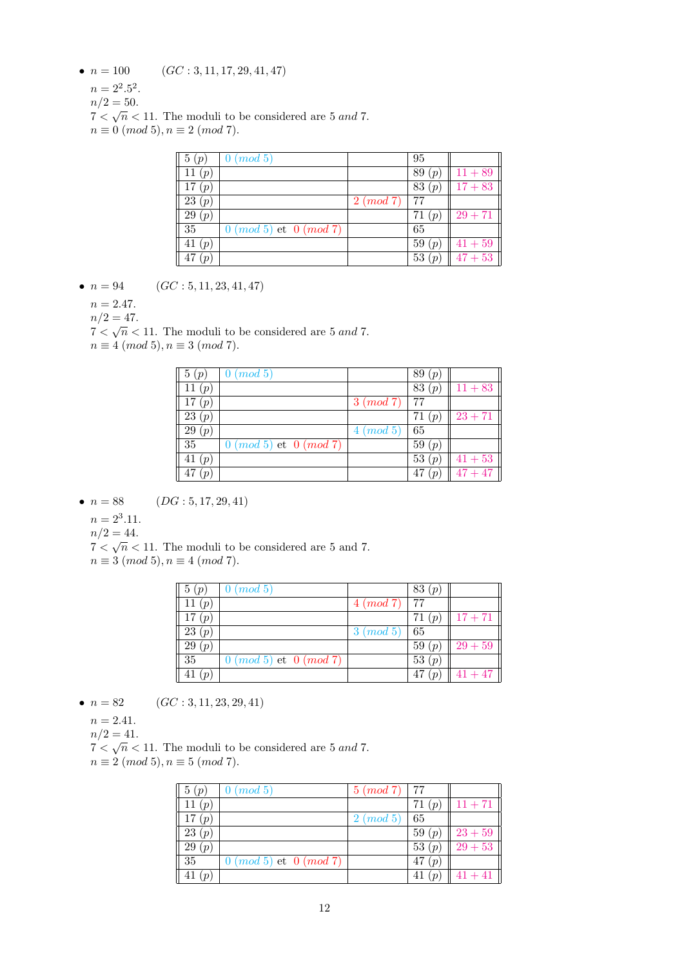- $n = 100$   $(GC: 3, 11, 17, 29, 41, 47)$ 
	- $n = 2^2.5^2$ .
	- $n/2 = 50$ .
	- $n/2 = 30.$ <br> $7 < \sqrt{n} < 11$ . The moduli to be considered are 5 and 7.
	- $n \equiv 0 \pmod{5}, n \equiv 2 \pmod{7}.$

| 5(p)     | $0 \ (mod\ 5)$               |                | 95                      |           |
|----------|------------------------------|----------------|-------------------------|-----------|
| 11 $(p)$ |                              |                | 89 $(p)$                | $11 + 89$ |
| 17 $(p)$ |                              |                | 83 $(p)$                | $17 + 83$ |
| 23(p)    |                              | $2 \ (mod\ 7)$ | 77                      |           |
| 29(p)    |                              |                | 71<br>(p <sub>1</sub> ) | $29 + 71$ |
| 35       | $0 \pmod{5}$ et $0 \pmod{7}$ |                | 65                      |           |
| $-41(p)$ |                              |                | 59 $(p)$                | $41 + 59$ |
| 47 $(p)$ |                              |                | 53(p)                   | $47 + 53$ |

• 
$$
n = 94
$$
  $(GC: 5, 11, 23, 41, 47)$ 

 $n = 2.47$ .

 $n/2 = 47.$ 

 $7 < \sqrt{n} < 11$ . The moduli to be considered are 5 and 7.

 $n \equiv 4 \pmod{5}, n \equiv 3 \pmod{7}.$ 

| $\parallel$ 5 $(p)$ | (mod 5)<br>0                     |                | 89 $(p)$ |                     |
|---------------------|----------------------------------|----------------|----------|---------------------|
| 11(p)               |                                  |                | 83 $(p)$ | $11 + 83$           |
| 17 $(p)$            |                                  | $3 \ (mod\ 7)$ | 77       |                     |
| 23(p)               |                                  |                | 71<br>(p | $23 + 71$           |
| $\boxed{29\ (p)}$   |                                  | $4 \pmod{5}$   | 65       |                     |
| $\sqrt{35}$         | $0 \ (mod\ 5)$ et $0 \ (mod\ 7)$ |                | 59 $(p)$ |                     |
| 41 $(p)$            |                                  |                | 53 $(p)$ | $41 + 53$           |
| $\sqrt{47(p)}$      |                                  |                | 47 $(p)$ | $\frac{1}{47} + 47$ |

• 
$$
n = 88
$$
  $(DG: 5, 17, 29, 41)$ 

 $n = 2^3.11.$ 

 $n/2 = 44.$ 

 $7 < \sqrt{n} < 11$ . The moduli to be considered are 5 and 7.

 $n \equiv 3 \pmod{5}, n \equiv 4 \pmod{7}.$ 

| 5(p)     | $0 \pmod{5}$                 |              | 83 $(p)$ |           |
|----------|------------------------------|--------------|----------|-----------|
| 11 $(p)$ |                              | $4 \pmod{7}$ | 77       |           |
| 17(p)    |                              |              | 71 $(p)$ | $17 + 71$ |
| 23(p)    |                              | $3 \pmod{5}$ | 65       |           |
| 29(p)    |                              |              | 59(p)    | $29+59$   |
| 35       | $0 \pmod{5}$ et $0 \pmod{7}$ |              | 53 $(p)$ |           |
| 41(p)    |                              |              | 47 $(p)$ | $41 + 47$ |

- $n = 82$  (GC : 3, 11, 23, 29, 41)
	- $n = 2.41.$
	- $n/2 = 41.$

 $7 < \sqrt{n} < 11$ . The moduli to be considered are 5 and 7.  $n \equiv 2 \pmod{5}, n \equiv 5 \pmod{7}.$ 

| $\parallel$ 5 $(p)$  | $0 \pmod{5}$                     | $5 \ (mod\ 7)$   77 |          |           |
|----------------------|----------------------------------|---------------------|----------|-----------|
| 11 $(p)$             |                                  |                     | 71(p)    | $11 + 71$ |
| 17(n)                |                                  | $2 \pmod{5}$        | 65       |           |
| 23(p)                |                                  |                     | 59(p)    | $23 + 59$ |
| 29(p)                |                                  |                     | 53(p)    | $29+53$   |
| 35                   | $0 \ (mod\ 5)$ et $0 \ (mod\ 7)$ |                     | 47<br>(p |           |
| $\frac{1}{41}$ $(p)$ |                                  |                     | 41       | $41 + 41$ |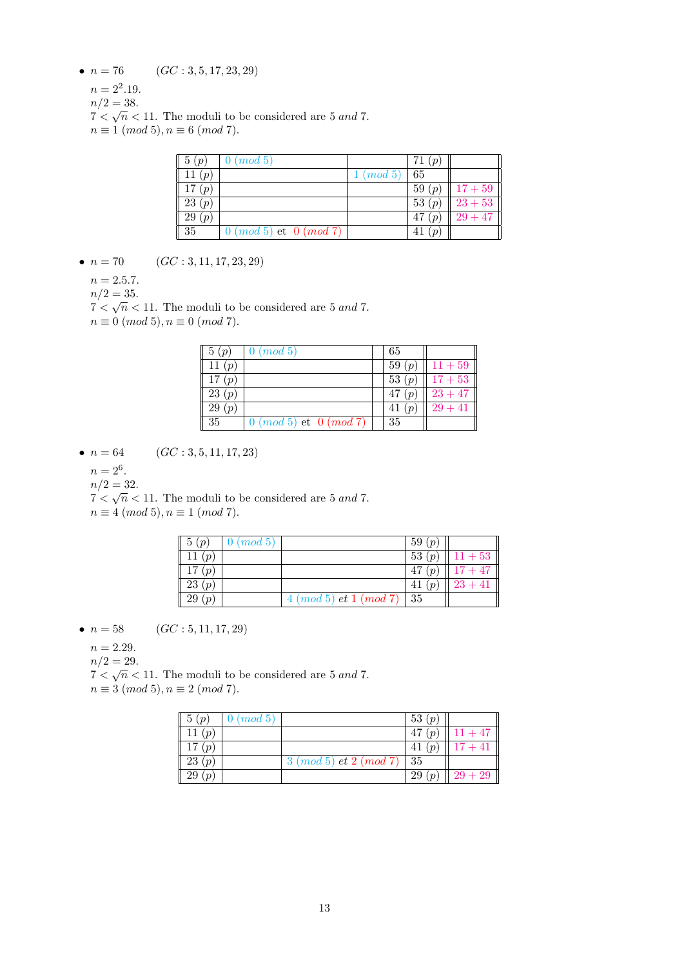- $n = 76$  (GC : 3, 5, 17, 23, 29)
	- $n = 2^2.19$ .
	- $n/2 = 38.$
	- $7 < \sqrt{n} < 11$ . The moduli to be considered are 5 and 7.
	- $n \equiv 1 \pmod{5}, n \equiv 6 \pmod{7}.$

| 5(p)     | $0 \ (mod \ 5)$                  |                 | 71<br>$(p_i)$ |                 |
|----------|----------------------------------|-----------------|---------------|-----------------|
| 11 $(p)$ |                                  | $1 \ (mod \ 5)$ | 65            |                 |
| 17 $(p)$ |                                  |                 | 59 $(p)$      | $   17 + 59   $ |
| 23(p)    |                                  |                 | 53 $(p)$      | $23+53$         |
| 29(p)    |                                  |                 | 47 $(p)$      | $29 + 47$       |
| 35       | $0 \ (mod\ 5)$ et $0 \ (mod\ 7)$ |                 | 41<br>(p      |                 |

- $n = 70$  (GC : 3, 11, 17, 23, 29)
	- $n = 2.5.7.$
	- $n/2 = 35.$

 $7 < \sqrt{n} < 11$ . The moduli to be considered are 5 and 7.  $n \equiv 0 \pmod{5}, n \equiv 0 \pmod{7}.$ 

| 5(p)                    | $0 \ (mod\ 5)$                   | 65                |           |
|-------------------------|----------------------------------|-------------------|-----------|
| 11 $(p)$                |                                  | 59(p)             | $11 + 59$ |
| 17<br>(p <sub>1</sub> ) |                                  | 53(p)             | $17 + 53$ |
| 23(p)                   |                                  | (p <sub>1</sub> ) | $23 + 47$ |
| 29(p)                   |                                  | 41 $(p)$          | $29 + 41$ |
| 35                      | $0 \ (mod\ 5)$ et $0 \ (mod\ 7)$ | 35                |           |

•  $n = 64$  (GC : 3, 5, 11, 17, 23)

$$
n=2^6.
$$

 $n/2 = 32.$ 

 $n/2 = 32.$ <br>  $7 < \sqrt{n} < 11$ . The moduli to be considered are 5 and 7.

 $n \equiv 4 \pmod{5}, n \equiv 1 \pmod{7}.$ 

| $\parallel$ 5 $(p)$ | $0 \pmod{5}$ |                                      | 59(p)    |                  |
|---------------------|--------------|--------------------------------------|----------|------------------|
| 11(p,               |              |                                      | 53(p)    | $\sqrt{11} + 53$ |
| 17(p)               |              |                                      | 47 $(p)$ | $17 + 47$        |
| 23(p)               |              |                                      | 41 $(p)$ | $23 + 41$        |
| 29(p)               |              | $4 \ (mod \ 5) \ et \ 1 \ (mod \ 7)$ | -35      |                  |

• 
$$
n = 58
$$
  $(GC: 5, 11, 17, 29)$ 

 $n = 2.29$ .

 $n/2 = 29$ .

 $n/2 = 29$ .<br>  $7 < \sqrt{n} < 11$ . The moduli to be considered are 5 and 7.

 $n \equiv 3 \pmod{5}, n \equiv 2 \pmod{7}.$ 

| $\parallel 5(p)$ | $0 \pmod{5}$ |                                       | 53(p)    |           |
|------------------|--------------|---------------------------------------|----------|-----------|
| 11 $(p)$         |              |                                       | 47 $(p)$ | $11 + 47$ |
| 17(p)            |              |                                       | 41(p)    | $17 + 41$ |
| 23(p)            |              | $3 \ (mod\ 5)$ et $2 \ (mod\ 7)$   35 |          |           |
| 29(p)            |              |                                       | 29(p)    | $ 29+29 $ |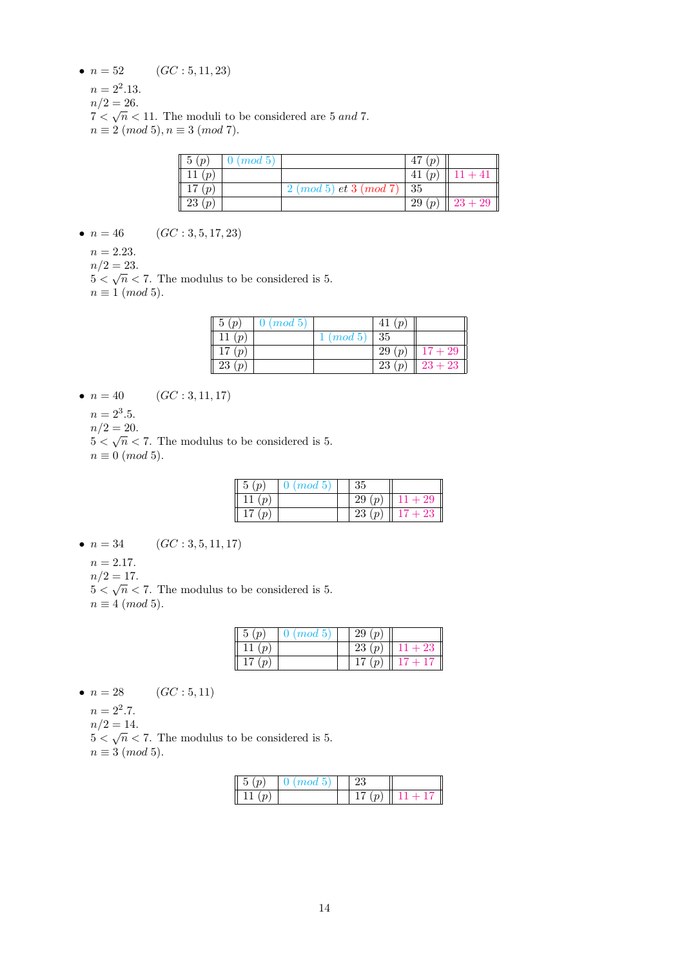- $n = 52$  (GC : 5, 11, 23)
	- $n = 2^2.13$ .
	- $n/2 = 26.$  $7 < \sqrt{n} < 11$ . The moduli to be considered are 5 and 7.
	- $n \equiv 2 \pmod{5}, n \equiv 3 \pmod{7}.$

| $\parallel 5(p)$ | $0 \ (mod \ 5)$ |                              | 47<br>(p |           |
|------------------|-----------------|------------------------------|----------|-----------|
| 11 $(p)$         |                 |                              | 41<br>(p |           |
| 17(p)            |                 | $2 \pmod{5}$ et $3 \pmod{7}$ | - 35     |           |
| 23(p)            |                 |                              | 29(p)    | $23 + 29$ |

- $n = 46$  (GC : 3, 5, 17, 23)
	- $n = 2.23$ .
	- $n/2 = 23$ .

 $m/2 = 23.$ <br>5  $\lt \sqrt{n}$   $\lt 7$ . The modulus to be considered is 5.  $n \equiv 1 \pmod{5}$ .

| $\parallel$ 5 $(p)$ | $0 \pmod{5}$ |                 | 41 $(p)$                |           |
|---------------------|--------------|-----------------|-------------------------|-----------|
| 11 $(p)$            |              | $1 \ (mod \ 5)$ | 35                      |           |
| 17(p)               |              |                 | 29(p)                   | $17 + 29$ |
| 23(p)               |              |                 | 23<br>(p <sub>1</sub> ) | $23 + 23$ |

- $n = 40$  (GC : 3, 11, 17)
	- $n = 2^3.5$ .
	- $n/2 = 20.$
	- $5 < \sqrt{n} < 7$ . The modulus to be considered is 5.  $n \equiv 0 \pmod{5}$ .

| (mod~5) | 35                  |      |
|---------|---------------------|------|
|         | 29<br>$\sim$        | - 29 |
|         | 23<br>$\mathcal{D}$ | 23   |

- $n = 34$  (GC : 3, 5, 11, 17)
	- $n = 2.17$ .
	- $n/2 = 17.$

 $5 < \sqrt{n} < 7$ . The modulus to be considered is 5.  $n \equiv 4 \pmod{5}$ .

| 5<br>$\overline{p}$  | $0 \ (mod \ 5)$ | $\,29$<br>(p)    |        |
|----------------------|-----------------|------------------|--------|
| $\left( p\right)$    |                 | 23(p)            | $1+23$ |
| 17<br>$\overline{p}$ |                 | $\boldsymbol{v}$ |        |

$$
\bullet \ \ n=28 \qquad \quad (GC:5,11)
$$

- $n = 2^2.7$ .
- $n/2 = 14.$
- $5 < \sqrt{n} < 7$ . The modulus to be considered is 5.
- $n \equiv 3 \pmod{5}$ .

| $mod\; 5$ |  |  |
|-----------|--|--|
|           |  |  |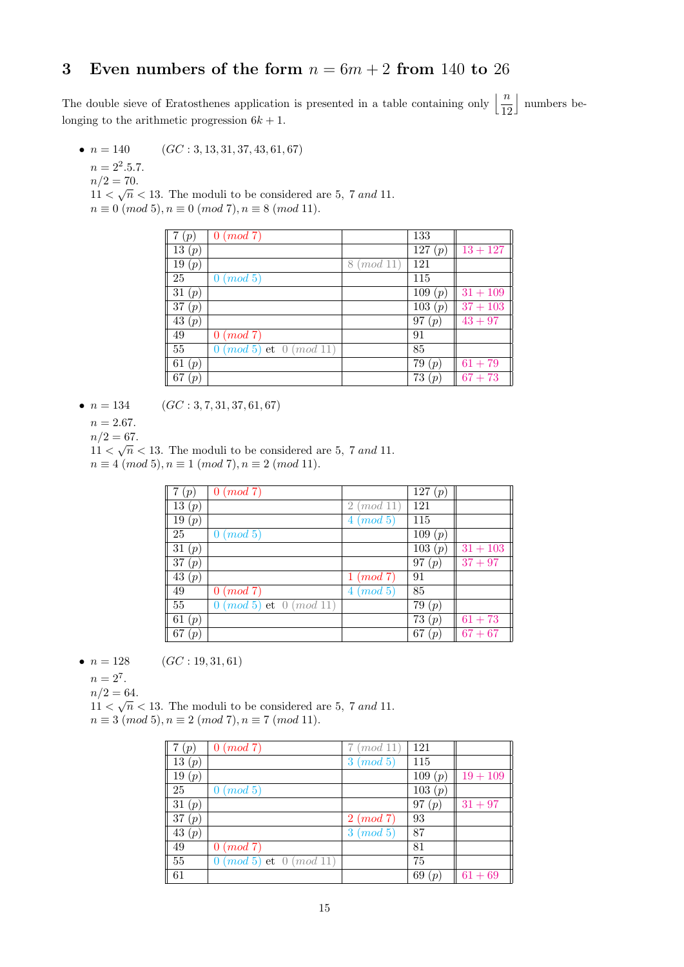## 3 Even numbers of the form  $n = 6m + 2$  from 140 to 26

The double sieve of Eratosthenes application is presented in a table containing only  $\left\lfloor \frac{n}{12} \right\rfloor$ | numbers belonging to the arithmetic progression  $6k + 1$ .

•  $n = 140$  (GC : 3, 13, 31, 37, 43, 61, 67)

 $n = 2^2.5.7$ .

- $n/2 = 70.$  $n/2 = 10$ .<br>11  $\lt \sqrt{n}$   $\lt$  13. The moduli to be considered are 5, 7 and 11.
- $n \equiv 0 \pmod{5}, n \equiv 0 \pmod{7}, n \equiv 8 \pmod{11}.$

| (p)                     | $0 \pmod{7}$                      |               | 133       |            |
|-------------------------|-----------------------------------|---------------|-----------|------------|
| $\overline{1}3(p)$      |                                   |               | 127(p)    | $13 + 127$ |
| 19 $(p)$                |                                   | (mod 11)<br>8 | 121       |            |
| 25                      | (mod 5)<br>$\theta$               |               | 115       |            |
| 31 $(p)$                |                                   |               | 109(p)    | $31 + 109$ |
| 37(p)                   |                                   |               | 103(p)    | $37 + 103$ |
| 43(p)                   |                                   |               | 97 $(p)$  | $43 + 97$  |
| 49                      | $0 \pmod{7}$                      |               | 91        |            |
| 55                      | $0 \ (mod\ 5)$ et $0 \ (mod\ 11)$ |               | 85        |            |
| 61 $(p)$                |                                   |               | 79<br>(p) | $61 + 79$  |
| 67<br>(p <sub>1</sub> ) |                                   |               | 73<br>(p  | $67 + 73$  |

- $n = 134$  (GC : 3, 7, 31, 37, 61, 67)
	- $n = 2.67$ .
	- $n/2 = 67$ .

 $n/2 = 0$ .<br>11 <  $\sqrt{n}$  < 13. The moduli to be considered are 5, 7 and 11.  $n \equiv 4 \pmod{5}, n \equiv 1 \pmod{7}, n \equiv 2 \pmod{11}.$ 

| 7(p)      | $0 \pmod{7}$                      |                            | 127 $(p)$ |            |
|-----------|-----------------------------------|----------------------------|-----------|------------|
| 13(p)     |                                   | (mod 11)<br>$\overline{2}$ | 121       |            |
| 19(p)     |                                   | (mod 5)<br>4               | 115       |            |
| 25        | (mod 5)<br>$\theta$               |                            | 109 (p)   |            |
| 31 $(p)$  |                                   |                            | 103 (p)   | $31 + 103$ |
| 37(p)     |                                   |                            | 97 $(p)$  | $37 + 97$  |
| 43(p)     |                                   | (mod 7)                    | 91        |            |
| 49        | $0 \pmod{7}$                      | (mod 5)<br>4               | 85        |            |
| 55        | $0 \ (mod\ 5)$ et $0 \ (mod\ 11)$ |                            | 79 $(p)$  |            |
| 61 $(p)$  |                                   |                            | 73(p)     | $61 + 73$  |
| 67<br>(p) |                                   |                            | 67<br>(p  | $67 + 67$  |

•  $n = 128$  (GC : 19, 31, 61)

 $n = 2^7$ .

 $n/2 = 64.$ 

 $11 < \sqrt{n} < 13$ . The moduli to be considered are 5, 7 and 11.  $n \equiv 3 \pmod{5}, n \equiv 2 \pmod{7}, n \equiv 7 \pmod{11}.$ 

| (p)             | $0 \pmod{7}$                      | (mod 11)     | -121      |            |
|-----------------|-----------------------------------|--------------|-----------|------------|
| 13(p)           |                                   | $3 \pmod{5}$ | 115       |            |
| 19(p)           |                                   |              | 109(p)    | $19 + 109$ |
| 25              | (mod 5)<br>0                      |              | 103(p)    |            |
| 31 $(p)$        |                                   |              | 97 $(p)$  | $31 + 97$  |
| 37(p)           |                                   | $2 \pmod{7}$ | 93        |            |
| 43(p)           |                                   | $3 \pmod{5}$ | 87        |            |
| 49              | $0 \pmod{7}$                      |              | 81        |            |
| $\overline{5}5$ | $0 \ (mod\ 5)$ et $0 \ (mod\ 11)$ |              | 75        |            |
| 61              |                                   |              | 69<br>(p) | $61 + 69$  |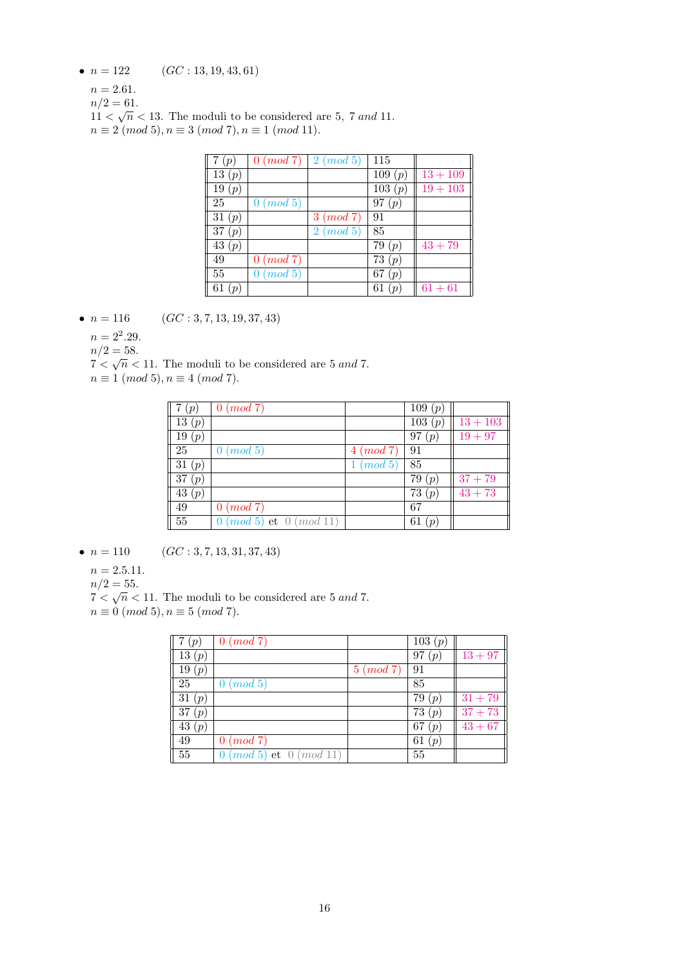- $n = 122$   $(GC: 13, 19, 43, 61)$ 
	- $n = 2.61$ .
	- $n/2 = 61.$

 $11 < \sqrt{n} < 13$ . The moduli to be considered are 5, 7 and 11.  $n \equiv 2 \pmod{5}, n \equiv 3 \pmod{7}, n \equiv 1 \pmod{11}.$ 

| $\binom{p}{p}$ | $0 \ (mod\ 7) \mid 2 \ (mod\ 5)$ |              | 115                       |            |
|----------------|----------------------------------|--------------|---------------------------|------------|
| 13(p)          |                                  |              | 109(p)                    | $13 + 109$ |
| 19 $(p)$       |                                  |              | 103(p)                    | $19 + 103$ |
| 25             | $0 \ (mod\ 5)$                   |              | 97 $(p)$                  |            |
| 31 $(p)$       |                                  | $3 \pmod{7}$ | 91                        |            |
| 37<br>(p)      |                                  | $2 \pmod{5}$ | 85                        |            |
| 43 $(p)$       |                                  |              | 79(p)                     | $43 + 79$  |
| 49             | $0 \pmod{7}$                     |              | 73(p)                     |            |
| 55             | (mod 5)<br>$\theta$              |              | 67<br>(p                  |            |
| 61<br>(p)      |                                  |              | 61<br>$\boldsymbol{\eta}$ | $61 + 61$  |

- $n = 116$  (GC : 3, 7, 13, 19, 37, 43)
	- $n = 2^2.29$ .
	- $n/2 = 58.$

 $7 < \sqrt{n} < 11$ . The moduli to be considered are 5 and 7.

 $n \equiv 1 \pmod{5}, n \equiv 4 \pmod{7}.$ 

| (p <sub>0</sub> )  | $0 \pmod{7}$                      |              | 109(p)    |            |
|--------------------|-----------------------------------|--------------|-----------|------------|
| $\overline{13}(p)$ |                                   |              | 103 (p)   | $13 + 103$ |
| 19(p)              |                                   |              | 97<br>(p) | $19 + 97$  |
| 25                 | $0 \ (mod \ 5)$                   | $4 \pmod{7}$ | 91        |            |
| 31(p)              |                                   | $1 \pmod{5}$ | 85        |            |
| 37(p)              |                                   |              | 79 $(p)$  | $37 + 79$  |
| $\overline{43}(p)$ |                                   |              | 73 $(p)$  | $43 + 73$  |
| 49                 | $0 \ (mod\ 7)$                    |              | 67        |            |
| $\overline{55}$    | $0 \ (mod\ 5)$ et $0 \ (mod\ 11)$ |              | 61<br>(p) |            |

•  $n = 110$   $(GC: 3, 7, 13, 31, 37, 43)$ 

- $n = 2.5.11.$
- $n/2 = 55.$

 $7 < \sqrt{n} < 11$ . The moduli to be considered are 5 and 7.

 $n \equiv 0 \pmod{5}, n \equiv 5 \pmod{7}.$ 

| (p       | $0 \pmod{7}$                      |              | 103(p)                  |           |
|----------|-----------------------------------|--------------|-------------------------|-----------|
| 13(p)    |                                   |              | 97<br>(p <sub>q</sub> ) | $13 + 97$ |
| 19 $(p)$ |                                   | $5 \pmod{7}$ | -91                     |           |
| 25       | $0 \ (mod\ 5)$                    |              | 85                      |           |
| 31(p)    |                                   |              | 79 $(p)$                | $31 + 79$ |
| 37 $(p)$ |                                   |              | 73 $(p)$                | $37 + 73$ |
| 43 $(p)$ |                                   |              | 67<br>(p <sub>1</sub> ) | $43 + 67$ |
| 49       | $0 \pmod{7}$                      |              | 61<br>(p <sub>1</sub> ) |           |
| 55       | $0 \ (mod\ 5)$ et $0 \ (mod\ 11)$ |              | 55                      |           |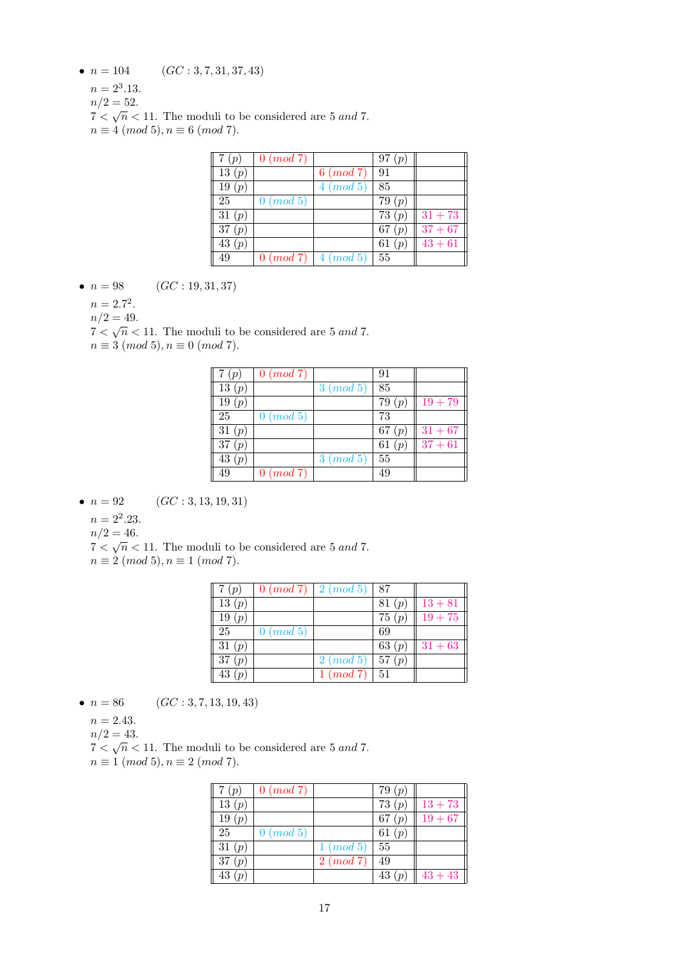- $n = 104$  (GC : 3, 7, 31, 37, 43)
	- $n = 2^3.13.$
	- $n/2 = 52$ .
	- $n/2 = 32.$ <br>  $7 < \sqrt{n} < 11$ . The moduli to be considered are 5 and 7.
	- $n \equiv 4 \pmod{5}, n \equiv 6 \pmod{7}.$

| 7(p)     | $0 \ (mod\ 7)$  |                                   | 97(p)    |           |
|----------|-----------------|-----------------------------------|----------|-----------|
| 13(p)    |                 | $6 \ (mod\ 7)$                    | 91       |           |
| 19 $(p)$ |                 | $4 \pmod{5}$                      | 85       |           |
| 25       | $0 \ (mod \ 5)$ |                                   | 79(p)    |           |
| 31 $(p)$ |                 |                                   | 73 $(p)$ | $31 + 73$ |
| 37(p)    |                 |                                   | 67(p)    | $37 + 67$ |
| 43 $(p)$ |                 |                                   | 61 $(p)$ | $43 + 61$ |
| 49       |                 | $0 \ (mod\ 7) \   \ 4 \ (mod\ 5)$ | 55       |           |

•  $n = 98$  (GC : 19, 31, 37)

 $n = 2.7^2$ .

 $n/2 = 49$ .

 $n/2 = 49.$ <br> $7 < \sqrt{n} < 11$ . The moduli to be considered are 5 and 7.

 $n \equiv 3 \pmod{5}, n \equiv 0 \pmod{7}.$ 

| $($ ( $p$ | $0 \pmod{7}$    |              | 91        |           |
|-----------|-----------------|--------------|-----------|-----------|
| 13(p)     |                 | $3 \pmod{5}$ | 85        |           |
| 19(p)     |                 |              | 79<br>(p) | $19 + 79$ |
| 25        | $0 \ (mod \ 5)$ |              | 73        |           |
| 31 $(p)$  |                 |              | 67 $(p)$  | $31 + 67$ |
| 37 $(p)$  |                 |              | 61 $(p)$  | $37 + 61$ |
| 43 $(p)$  |                 | $3 \pmod{5}$ | 55        |           |
| 49        | $0 \pmod{7}$    |              | 49        |           |

• 
$$
n = 92
$$
  $(GC: 3, 13, 19, 31)$ 

 $n = 2^2 \cdot 23.$ 

 $n/2 = 46.$ 

 $7 < \sqrt{n} < 11$ . The moduli to be considered are 5 and 7.

 $n \equiv 2 \pmod{5}$ ,  $n \equiv 1 \pmod{7}$ .

| 7(p)     |                | $0 \ (mod\ 7) \mid 2 \ (mod\ 5)$ | 87       |           |
|----------|----------------|----------------------------------|----------|-----------|
| 13(p)    |                |                                  | 81(p)    | $13 + 81$ |
| 19 $(p)$ |                |                                  | 75(p)    | $19 + 75$ |
| 25       | $0 \ (mod\ 5)$ |                                  | 69       |           |
| 31 $(p)$ |                |                                  | 63 $(p)$ | $31 + 63$ |
| 37(p)    |                | $2 \pmod{5}$                     | 57(p)    |           |
| 43 $(p)$ |                | $1 \ (mod\ 7)$                   | 51       |           |

• 
$$
n = 86
$$
  $(GC: 3, 7, 13, 19, 43)$ 

 $n = 2.43$ .

 $n/2 = 43.$ 

 $7 < \sqrt{n} < 11$ . The moduli to be considered are 5 and 7.  $n \equiv 1 \pmod{5}, n \equiv 2 \pmod{7}.$ 

| $($ ( $p$ | $0 \ (mod\ 7)$ |              | 79 $(p)$ |           |
|-----------|----------------|--------------|----------|-----------|
| 13 $(p)$  |                |              | 73(p)    | $13 + 73$ |
| 19 $(p)$  |                |              | 67 $(p)$ | $19 + 67$ |
| 25        | $0 \ (mod\ 5)$ |              | 61 $(p)$ |           |
| 31 $(p)$  |                | $1 \pmod{5}$ | 55       |           |
| 37(p)     |                | $2 \pmod{7}$ | 49       |           |
| 43 $(p)$  |                |              | 43       | $43+43$   |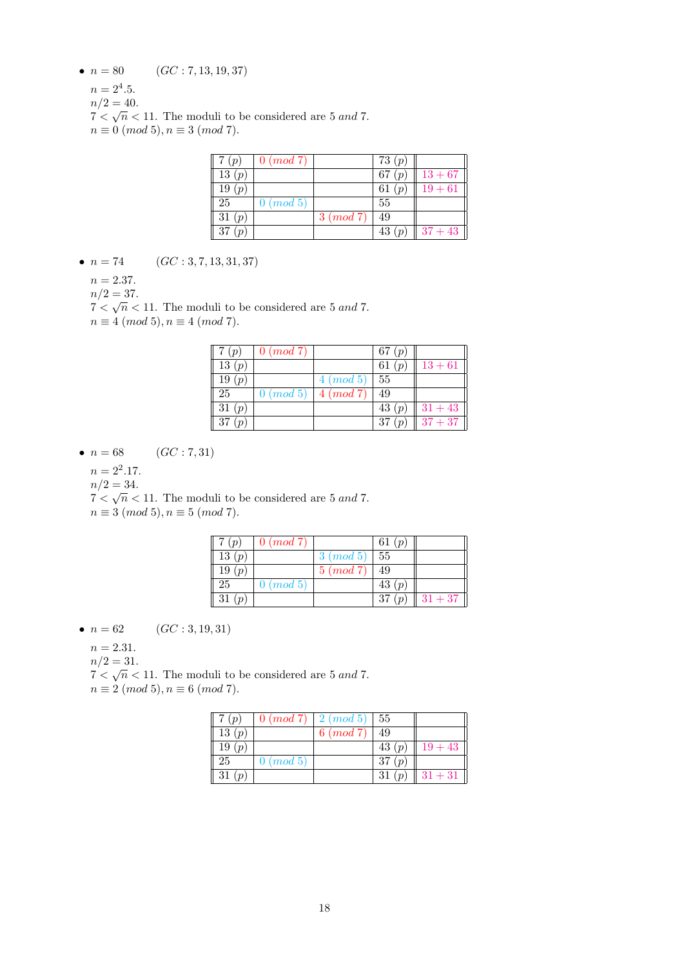- $n = 80$  (GC : 7, 13, 19, 37)
	- $n = 2^4.5$ .
	- $n/2 = 40.$

 $7 < \sqrt{n} < 11$ . The moduli to be considered are 5 and 7.  $n \equiv 0 \ (mod \ 5), n \equiv 3 \ (mod \ 7).$ 

| ( p )    | $0 \ (mod 7)$   |              | 73 $(p)$ |           |
|----------|-----------------|--------------|----------|-----------|
| 13(p)    |                 |              | 67 $(p)$ | $13 + 67$ |
| 19(p)    |                 |              | 61 $(p)$ | $19 + 61$ |
| 25       | $0 \ (mod \ 5)$ |              | 55       |           |
| 31 $(p)$ |                 | $3 \pmod{7}$ | 49       |           |
| 37(p)    |                 |              | 43 $(p)$ | $37 + 43$ |

- $n = 74$  (GC : 3, 7, 13, 31, 37)
	- $n = 2.37$ .
	- $n/2 = 37.$

 $7 < \sqrt{n} < 11$ . The moduli to be considered are 5 and 7.  $n \equiv 4 \pmod{5}, n \equiv 4 \pmod{7}.$ 

| 7(p)     | $0 \ (mod\ 7)$                   |                 | 67 $(p)$                  |           |
|----------|----------------------------------|-----------------|---------------------------|-----------|
| 13(p)    |                                  |                 | 61 $(p)$                  | $13 + 61$ |
| 19<br>(p |                                  | $4 \ (mod \ 5)$ | -55                       |           |
| 25       | $0 \ (mod\ 5) \mid 4 \ (mod\ 7)$ |                 | 49                        |           |
| 31(p)    |                                  |                 | 43 $(p)$                  | $31 + 43$ |
| 37       |                                  |                 | 37<br>$\boldsymbol{\eta}$ | $37 + 37$ |

•  $n = 68$  (GC : 7, 31)

 $n = 2^2.17$ .

 $n/2 = 34.$ 

 $n/2 = 34.$ <br> $7 < \sqrt{n} < 11$ . The moduli to be considered are 5 and 7.  $n \equiv 3 \pmod{5}, n \equiv 5 \pmod{7}.$ 

| 7(p)     | $0 \ (mod\ 7)$ |                | 61 $(p)$ |           |
|----------|----------------|----------------|----------|-----------|
| 13(p)    |                | $3 \pmod{5}$   | -55      |           |
| 19(p)    |                | $5 \ (mod\ 7)$ | 49       |           |
| 25       | $0 \ (mod\ 5)$ |                | 43 $(p)$ |           |
| 31 $(p)$ |                |                | 37(p)    | $ 31+37 $ |

• 
$$
n = 62
$$
  $(GC: 3, 19, 31)$ 

 $n = 2.31.$ 

 $n/2 = 31.$ 

 $n/2 = 31.$ <br> $7 < \sqrt{n} < 11$ . The moduli to be considered are 5 and 7.

 $n \equiv 2 \pmod{5}, n \equiv 6 \pmod{7}.$ 

| 7(p)     | $\mid 0 \ (mod\ 7) \mid 2 \ (mod\ 5) \mid 55$ |                |          |             |
|----------|-----------------------------------------------|----------------|----------|-------------|
| 13(p)    |                                               | $6 \ (mod\ 7)$ | 49       |             |
| 19(p)    |                                               |                | 43 $(p)$ | $19 + 43$   |
| 25       | $0 \pmod{5}$                                  |                | 37 $(p)$ |             |
| 31 $(p)$ |                                               |                | 31 $(p)$ | $  31+31  $ |